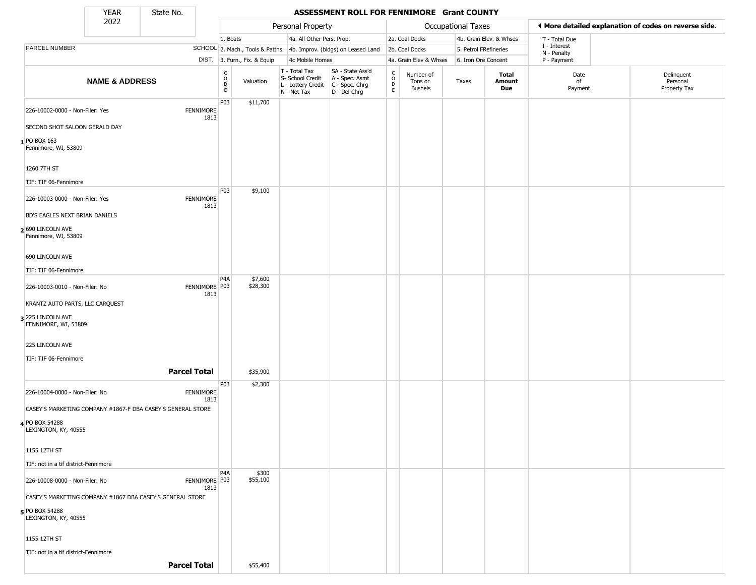State No.

L

#### YEAR State No. **ASSESSMENT ROLL FOR FENNIMORE Grant COUNTY**

|                                                                             | 2022                      |                                                             |                                              |                              | Personal Property                                                      |                                                                      |                             |                                        | <b>Occupational Taxes</b> |                         |                             | ♦ More detailed explanation of codes on reverse side. |
|-----------------------------------------------------------------------------|---------------------------|-------------------------------------------------------------|----------------------------------------------|------------------------------|------------------------------------------------------------------------|----------------------------------------------------------------------|-----------------------------|----------------------------------------|---------------------------|-------------------------|-----------------------------|-------------------------------------------------------|
|                                                                             |                           |                                                             | 1. Boats                                     |                              | 4a. All Other Pers. Prop.                                              |                                                                      |                             | 2a. Coal Docks                         |                           | 4b. Grain Elev. & Whses | T - Total Due               |                                                       |
| PARCEL NUMBER                                                               |                           |                                                             |                                              |                              |                                                                        | SCHOOL 2. Mach., Tools & Pattns. 4b. Improv. (bldgs) on Leased Land  |                             | 2b. Coal Docks                         | 5. Petrol FRefineries     |                         | I - Interest<br>N - Penalty |                                                       |
|                                                                             |                           |                                                             |                                              | DIST. 3. Furn., Fix. & Equip | 4c Mobile Homes                                                        |                                                                      |                             | 4a. Grain Elev & Whses                 | 6. Iron Ore Concent       |                         | P - Payment                 |                                                       |
|                                                                             | <b>NAME &amp; ADDRESS</b> |                                                             | $\int_{0}^{c}$<br>$\mathsf D$<br>$\mathsf E$ | Valuation                    | T - Total Tax<br>S- School Credit<br>L - Lottery Credit<br>N - Net Tax | SA - State Ass'd<br>A - Spec. Asmt<br>C - Spec. Chrg<br>D - Del Chrg | $\rm ^c_o$<br>$\frac{D}{E}$ | Number of<br>Tons or<br><b>Bushels</b> | Taxes                     | Total<br>Amount<br>Due  | Date<br>of<br>Payment       | Delinquent<br>Personal<br>Property Tax                |
| 226-10002-0000 - Non-Filer: Yes                                             |                           | <b>FENNIMORE</b><br>1813                                    | P03                                          | \$11,700                     |                                                                        |                                                                      |                             |                                        |                           |                         |                             |                                                       |
| SECOND SHOT SALOON GERALD DAY                                               |                           |                                                             |                                              |                              |                                                                        |                                                                      |                             |                                        |                           |                         |                             |                                                       |
| 1 PO BOX 163<br>Fennimore, WI, 53809                                        |                           |                                                             |                                              |                              |                                                                        |                                                                      |                             |                                        |                           |                         |                             |                                                       |
| 1260 7TH ST                                                                 |                           |                                                             |                                              |                              |                                                                        |                                                                      |                             |                                        |                           |                         |                             |                                                       |
| TIF: TIF 06-Fennimore                                                       |                           |                                                             |                                              |                              |                                                                        |                                                                      |                             |                                        |                           |                         |                             |                                                       |
| 226-10003-0000 - Non-Filer: Yes                                             |                           | <b>FENNIMORE</b><br>1813                                    | P03                                          | \$9,100                      |                                                                        |                                                                      |                             |                                        |                           |                         |                             |                                                       |
| BD'S EAGLES NEXT BRIAN DANIELS<br>2 690 LINCOLN AVE<br>Fennimore, WI, 53809 |                           |                                                             |                                              |                              |                                                                        |                                                                      |                             |                                        |                           |                         |                             |                                                       |
| 690 LINCOLN AVE                                                             |                           |                                                             |                                              |                              |                                                                        |                                                                      |                             |                                        |                           |                         |                             |                                                       |
| TIF: TIF 06-Fennimore                                                       |                           |                                                             |                                              |                              |                                                                        |                                                                      |                             |                                        |                           |                         |                             |                                                       |
| 226-10003-0010 - Non-Filer: No                                              |                           | FENNIMORE P03<br>1813                                       | P4A                                          | \$7,600<br>\$28,300          |                                                                        |                                                                      |                             |                                        |                           |                         |                             |                                                       |
| KRANTZ AUTO PARTS, LLC CARQUEST                                             |                           |                                                             |                                              |                              |                                                                        |                                                                      |                             |                                        |                           |                         |                             |                                                       |
| 3 225 LINCOLN AVE<br>FENNIMORE, WI, 53809                                   |                           |                                                             |                                              |                              |                                                                        |                                                                      |                             |                                        |                           |                         |                             |                                                       |
| 225 LINCOLN AVE                                                             |                           |                                                             |                                              |                              |                                                                        |                                                                      |                             |                                        |                           |                         |                             |                                                       |
| TIF: TIF 06-Fennimore                                                       |                           |                                                             |                                              |                              |                                                                        |                                                                      |                             |                                        |                           |                         |                             |                                                       |
|                                                                             |                           | <b>Parcel Total</b>                                         |                                              | \$35,900                     |                                                                        |                                                                      |                             |                                        |                           |                         |                             |                                                       |
| 226-10004-0000 - Non-Filer: No                                              |                           | <b>FENNIMORE</b><br>1813                                    | P03                                          | \$2,300                      |                                                                        |                                                                      |                             |                                        |                           |                         |                             |                                                       |
|                                                                             |                           | CASEY'S MARKETING COMPANY #1867-F DBA CASEY'S GENERAL STORE |                                              |                              |                                                                        |                                                                      |                             |                                        |                           |                         |                             |                                                       |
| 4 PO BOX 54288<br>LEXINGTON, KY, 40555                                      |                           |                                                             |                                              |                              |                                                                        |                                                                      |                             |                                        |                           |                         |                             |                                                       |
| 1155 12TH ST                                                                |                           |                                                             |                                              |                              |                                                                        |                                                                      |                             |                                        |                           |                         |                             |                                                       |
| TIF: not in a tif district-Fennimore                                        |                           |                                                             |                                              |                              |                                                                        |                                                                      |                             |                                        |                           |                         |                             |                                                       |
| 226-10008-0000 - Non-Filer: No                                              |                           | FENNIMORE P03<br>1813                                       | P <sub>4</sub> A                             | \$300<br>\$55,100            |                                                                        |                                                                      |                             |                                        |                           |                         |                             |                                                       |
|                                                                             |                           | CASEY'S MARKETING COMPANY #1867 DBA CASEY'S GENERAL STORE   |                                              |                              |                                                                        |                                                                      |                             |                                        |                           |                         |                             |                                                       |
| 5 PO BOX 54288<br>LEXINGTON, KY, 40555                                      |                           |                                                             |                                              |                              |                                                                        |                                                                      |                             |                                        |                           |                         |                             |                                                       |
| 1155 12TH ST                                                                |                           |                                                             |                                              |                              |                                                                        |                                                                      |                             |                                        |                           |                         |                             |                                                       |
| TIF: not in a tif district-Fennimore                                        |                           |                                                             |                                              |                              |                                                                        |                                                                      |                             |                                        |                           |                         |                             |                                                       |
|                                                                             |                           | <b>Parcel Total</b>                                         |                                              | \$55,400                     |                                                                        |                                                                      |                             |                                        |                           |                         |                             |                                                       |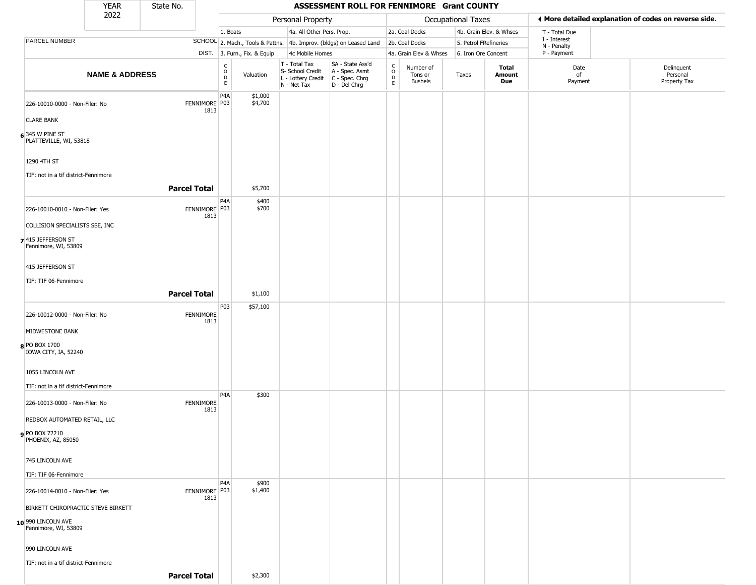|                                                          | <b>YEAR</b>                        | State No.           |                          |                                                          |                              |                                                                        | ASSESSMENT ROLL FOR FENNIMORE Grant COUNTY                             |                                            |                                        |                    |                         |                             |                                                       |
|----------------------------------------------------------|------------------------------------|---------------------|--------------------------|----------------------------------------------------------|------------------------------|------------------------------------------------------------------------|------------------------------------------------------------------------|--------------------------------------------|----------------------------------------|--------------------|-------------------------|-----------------------------|-------------------------------------------------------|
|                                                          | 2022                               |                     |                          |                                                          |                              | Personal Property                                                      |                                                                        |                                            |                                        | Occupational Taxes |                         |                             | ♦ More detailed explanation of codes on reverse side. |
|                                                          |                                    |                     |                          | 1. Boats                                                 |                              | 4a. All Other Pers. Prop.                                              |                                                                        |                                            | 2a. Coal Docks                         |                    | 4b. Grain Elev. & Whses | T - Total Due               |                                                       |
| PARCEL NUMBER                                            |                                    |                     |                          |                                                          |                              |                                                                        | SCHOOL 2. Mach., Tools & Pattns. 4b. Improv. (bldgs) on Leased Land    |                                            | 2b. Coal Docks                         |                    | 5. Petrol FRefineries   | I - Interest<br>N - Penalty |                                                       |
|                                                          |                                    |                     |                          |                                                          | DIST. 3. Furn., Fix. & Equip | 4c Mobile Homes                                                        |                                                                        |                                            | 4a. Grain Elev & Whses                 |                    | 6. Iron Ore Concent     | P - Payment                 |                                                       |
|                                                          | <b>NAME &amp; ADDRESS</b>          |                     |                          | $\begin{matrix} 0 \\ 0 \\ D \end{matrix}$<br>$\mathsf E$ | Valuation                    | T - Total Tax<br>S- School Credit<br>L - Lottery Credit<br>N - Net Tax | SA - State Ass'd<br>A - Spec. Asmt<br>$C - Spec. Chrg$<br>D - Del Chrg | $\begin{array}{c} C \\ 0 \\ E \end{array}$ | Number of<br>Tons or<br><b>Bushels</b> | Taxes              | Total<br>Amount<br>Due  | Date<br>of<br>Payment       | Delinquent<br>Personal<br>Property Tax                |
| 226-10010-0000 - Non-Filer: No<br><b>CLARE BANK</b>      |                                    |                     | FENNIMORE P03<br>1813    | P4A                                                      | \$1,000<br>\$4,700           |                                                                        |                                                                        |                                            |                                        |                    |                         |                             |                                                       |
| $6$ 345 W PINE ST<br>PLATTEVILLE, WI, 53818              |                                    |                     |                          |                                                          |                              |                                                                        |                                                                        |                                            |                                        |                    |                         |                             |                                                       |
| 1290 4TH ST                                              |                                    |                     |                          |                                                          |                              |                                                                        |                                                                        |                                            |                                        |                    |                         |                             |                                                       |
| TIF: not in a tif district-Fennimore                     |                                    | <b>Parcel Total</b> |                          |                                                          | \$5,700                      |                                                                        |                                                                        |                                            |                                        |                    |                         |                             |                                                       |
|                                                          |                                    |                     |                          | P <sub>4</sub> A                                         | \$400                        |                                                                        |                                                                        |                                            |                                        |                    |                         |                             |                                                       |
| 226-10010-0010 - Non-Filer: Yes                          |                                    |                     | FENNIMORE P03<br>1813    |                                                          | \$700                        |                                                                        |                                                                        |                                            |                                        |                    |                         |                             |                                                       |
| COLLISION SPECIALISTS SSE, INC                           |                                    |                     |                          |                                                          |                              |                                                                        |                                                                        |                                            |                                        |                    |                         |                             |                                                       |
| 7 415 JEFFERSON ST<br>Fennimore, WI, 53809               |                                    |                     |                          |                                                          |                              |                                                                        |                                                                        |                                            |                                        |                    |                         |                             |                                                       |
| 415 JEFFERSON ST                                         |                                    |                     |                          |                                                          |                              |                                                                        |                                                                        |                                            |                                        |                    |                         |                             |                                                       |
| TIF: TIF 06-Fennimore                                    |                                    |                     |                          |                                                          |                              |                                                                        |                                                                        |                                            |                                        |                    |                         |                             |                                                       |
|                                                          |                                    | <b>Parcel Total</b> |                          |                                                          | \$1,100                      |                                                                        |                                                                        |                                            |                                        |                    |                         |                             |                                                       |
| 226-10012-0000 - Non-Filer: No                           |                                    |                     | <b>FENNIMORE</b><br>1813 | <b>P03</b>                                               | \$57,100                     |                                                                        |                                                                        |                                            |                                        |                    |                         |                             |                                                       |
| MIDWESTONE BANK                                          |                                    |                     |                          |                                                          |                              |                                                                        |                                                                        |                                            |                                        |                    |                         |                             |                                                       |
| 8 PO BOX 1700<br>IOWA CITY, IA, 52240                    |                                    |                     |                          |                                                          |                              |                                                                        |                                                                        |                                            |                                        |                    |                         |                             |                                                       |
| 1055 LINCOLN AVE<br>TIF: not in a tif district-Fennimore |                                    |                     |                          |                                                          |                              |                                                                        |                                                                        |                                            |                                        |                    |                         |                             |                                                       |
|                                                          |                                    |                     |                          | P <sub>4</sub> A                                         | \$300                        |                                                                        |                                                                        |                                            |                                        |                    |                         |                             |                                                       |
| 226-10013-0000 - Non-Filer: No                           |                                    |                     | <b>FENNIMORE</b><br>1813 |                                                          |                              |                                                                        |                                                                        |                                            |                                        |                    |                         |                             |                                                       |
| REDBOX AUTOMATED RETAIL, LLC                             |                                    |                     |                          |                                                          |                              |                                                                        |                                                                        |                                            |                                        |                    |                         |                             |                                                       |
| <b>9</b> PO BOX 72210<br>PHOENIX, AZ, 85050              |                                    |                     |                          |                                                          |                              |                                                                        |                                                                        |                                            |                                        |                    |                         |                             |                                                       |
| 745 LINCOLN AVE                                          |                                    |                     |                          |                                                          |                              |                                                                        |                                                                        |                                            |                                        |                    |                         |                             |                                                       |
| TIF: TIF 06-Fennimore                                    |                                    |                     |                          |                                                          |                              |                                                                        |                                                                        |                                            |                                        |                    |                         |                             |                                                       |
| 226-10014-0010 - Non-Filer: Yes                          |                                    |                     | FENNIMORE P03<br>1813    | P <sub>4</sub> A                                         | \$900<br>\$1,400             |                                                                        |                                                                        |                                            |                                        |                    |                         |                             |                                                       |
|                                                          | BIRKETT CHIROPRACTIC STEVE BIRKETT |                     |                          |                                                          |                              |                                                                        |                                                                        |                                            |                                        |                    |                         |                             |                                                       |
| 10 990 LINCOLN AVE<br>Fennimore, WI, 53809               |                                    |                     |                          |                                                          |                              |                                                                        |                                                                        |                                            |                                        |                    |                         |                             |                                                       |
| 990 LINCOLN AVE                                          |                                    |                     |                          |                                                          |                              |                                                                        |                                                                        |                                            |                                        |                    |                         |                             |                                                       |
| TIF: not in a tif district-Fennimore                     |                                    |                     |                          |                                                          |                              |                                                                        |                                                                        |                                            |                                        |                    |                         |                             |                                                       |
|                                                          |                                    | <b>Parcel Total</b> |                          |                                                          | \$2,300                      |                                                                        |                                                                        |                                            |                                        |                    |                         |                             |                                                       |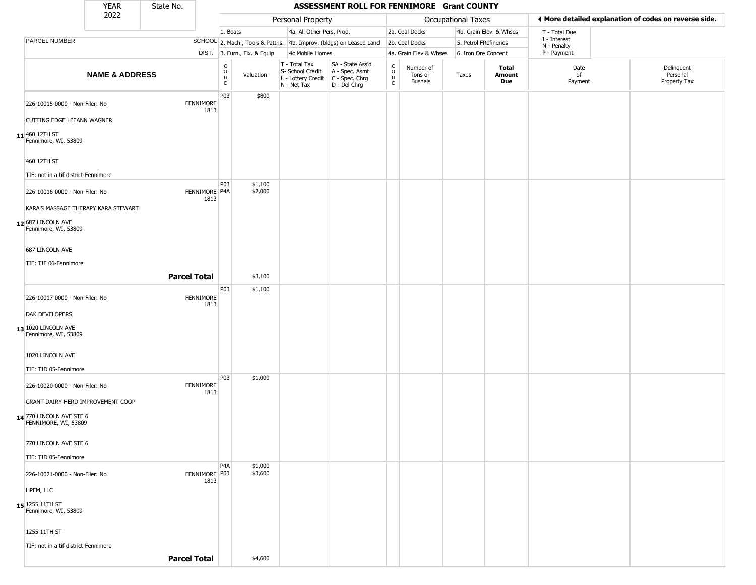|                                                  | <b>YEAR</b>                         | State No.                |                         |                              |                                                  | ASSESSMENT ROLL FOR FENNIMORE Grant COUNTY                                                  |                                    |                                        |                    |                         |                             |                                                       |
|--------------------------------------------------|-------------------------------------|--------------------------|-------------------------|------------------------------|--------------------------------------------------|---------------------------------------------------------------------------------------------|------------------------------------|----------------------------------------|--------------------|-------------------------|-----------------------------|-------------------------------------------------------|
|                                                  | 2022                                |                          |                         |                              | Personal Property                                |                                                                                             |                                    |                                        | Occupational Taxes |                         |                             | ◀ More detailed explanation of codes on reverse side. |
|                                                  |                                     |                          | 1. Boats                |                              | 4a. All Other Pers. Prop.                        |                                                                                             |                                    | 2a. Coal Docks                         |                    | 4b. Grain Elev. & Whses | T - Total Due               |                                                       |
| PARCEL NUMBER                                    |                                     |                          |                         |                              |                                                  | SCHOOL 2. Mach., Tools & Pattns. 4b. Improv. (bldgs) on Leased Land                         |                                    | 2b. Coal Docks                         |                    | 5. Petrol FRefineries   | I - Interest<br>N - Penalty |                                                       |
|                                                  |                                     |                          |                         | DIST. 3. Furn., Fix. & Equip | 4c Mobile Homes                                  |                                                                                             |                                    | 4a. Grain Elev & Whses                 |                    | 6. Iron Ore Concent     | P - Payment                 |                                                       |
|                                                  | <b>NAME &amp; ADDRESS</b>           |                          | $\frac{c}{0}$<br>D<br>E | Valuation                    | T - Total Tax<br>S- School Credit<br>N - Net Tax | SA - State Ass'd<br>A - Spec. Asmt<br>$L$ - Lottery Credit $C$ - Spec. Chrg<br>D - Del Chrg | $\int_{0}^{c}$<br>$\mathsf D$<br>E | Number of<br>Tons or<br><b>Bushels</b> | Taxes              | Total<br>Amount<br>Due  | Date<br>of<br>Payment       | Delinquent<br>Personal<br>Property Tax                |
| 226-10015-0000 - Non-Filer: No                   |                                     | <b>FENNIMORE</b><br>1813 | P03                     | \$800                        |                                                  |                                                                                             |                                    |                                        |                    |                         |                             |                                                       |
| <b>CUTTING EDGE LEEANN WAGNER</b>                |                                     |                          |                         |                              |                                                  |                                                                                             |                                    |                                        |                    |                         |                             |                                                       |
| 11 460 12TH ST<br>Fennimore, WI, 53809           |                                     |                          |                         |                              |                                                  |                                                                                             |                                    |                                        |                    |                         |                             |                                                       |
| 460 12TH ST                                      |                                     |                          |                         |                              |                                                  |                                                                                             |                                    |                                        |                    |                         |                             |                                                       |
| TIF: not in a tif district-Fennimore             |                                     |                          |                         |                              |                                                  |                                                                                             |                                    |                                        |                    |                         |                             |                                                       |
| 226-10016-0000 - Non-Filer: No                   |                                     | FENNIMORE P4A<br>1813    | <b>P03</b>              | \$1,100<br>\$2,000           |                                                  |                                                                                             |                                    |                                        |                    |                         |                             |                                                       |
|                                                  | KARA'S MASSAGE THERAPY KARA STEWART |                          |                         |                              |                                                  |                                                                                             |                                    |                                        |                    |                         |                             |                                                       |
| $12$ 687 LINCOLN AVE<br>Fennimore, WI, 53809     |                                     |                          |                         |                              |                                                  |                                                                                             |                                    |                                        |                    |                         |                             |                                                       |
| 687 LINCOLN AVE                                  |                                     |                          |                         |                              |                                                  |                                                                                             |                                    |                                        |                    |                         |                             |                                                       |
| TIF: TIF 06-Fennimore                            |                                     |                          |                         |                              |                                                  |                                                                                             |                                    |                                        |                    |                         |                             |                                                       |
|                                                  |                                     | <b>Parcel Total</b>      |                         | \$3,100                      |                                                  |                                                                                             |                                    |                                        |                    |                         |                             |                                                       |
| 226-10017-0000 - Non-Filer: No                   |                                     | <b>FENNIMORE</b><br>1813 | P03                     | \$1,100                      |                                                  |                                                                                             |                                    |                                        |                    |                         |                             |                                                       |
| DAK DEVELOPERS                                   |                                     |                          |                         |                              |                                                  |                                                                                             |                                    |                                        |                    |                         |                             |                                                       |
| 13 1020 LINCOLN AVE<br>Fennimore, WI, 53809      |                                     |                          |                         |                              |                                                  |                                                                                             |                                    |                                        |                    |                         |                             |                                                       |
| 1020 LINCOLN AVE                                 |                                     |                          |                         |                              |                                                  |                                                                                             |                                    |                                        |                    |                         |                             |                                                       |
| TIF: TID 05-Fennimore                            |                                     |                          |                         |                              |                                                  |                                                                                             |                                    |                                        |                    |                         |                             |                                                       |
| 226-10020-0000 - Non-Filer: No                   |                                     | <b>FENNIMORE</b><br>1813 | P03                     | \$1,000                      |                                                  |                                                                                             |                                    |                                        |                    |                         |                             |                                                       |
|                                                  | GRANT DAIRY HERD IMPROVEMENT COOP   |                          |                         |                              |                                                  |                                                                                             |                                    |                                        |                    |                         |                             |                                                       |
| 14 770 LINCOLN AVE STE 6<br>FENNIMORE, WI, 53809 |                                     |                          |                         |                              |                                                  |                                                                                             |                                    |                                        |                    |                         |                             |                                                       |
| 770 LINCOLN AVE STE 6                            |                                     |                          |                         |                              |                                                  |                                                                                             |                                    |                                        |                    |                         |                             |                                                       |
| TIF: TID 05-Fennimore                            |                                     |                          |                         |                              |                                                  |                                                                                             |                                    |                                        |                    |                         |                             |                                                       |
| 226-10021-0000 - Non-Filer: No                   |                                     | FENNIMORE P03<br>1813    | P <sub>4</sub> A        | \$1,000<br>\$3,600           |                                                  |                                                                                             |                                    |                                        |                    |                         |                             |                                                       |
| HPFM, LLC                                        |                                     |                          |                         |                              |                                                  |                                                                                             |                                    |                                        |                    |                         |                             |                                                       |
| 15 1255 11TH ST<br>Fennimore, WI, 53809          |                                     |                          |                         |                              |                                                  |                                                                                             |                                    |                                        |                    |                         |                             |                                                       |
| 1255 11TH ST                                     |                                     |                          |                         |                              |                                                  |                                                                                             |                                    |                                        |                    |                         |                             |                                                       |
| TIF: not in a tif district-Fennimore             |                                     |                          |                         |                              |                                                  |                                                                                             |                                    |                                        |                    |                         |                             |                                                       |
|                                                  |                                     | <b>Parcel Total</b>      |                         | \$4,600                      |                                                  |                                                                                             |                                    |                                        |                    |                         |                             |                                                       |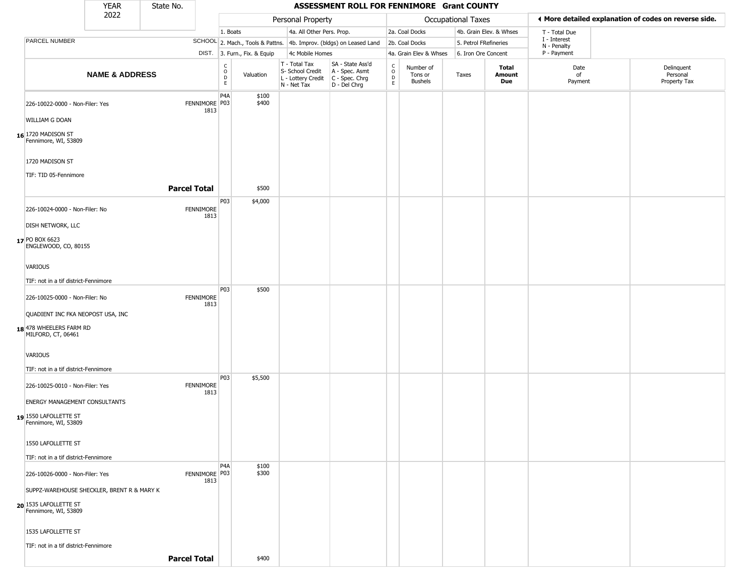|                                                   | YEAR                      | State No. |                          |                                    |                              |                                                                                         | ASSESSMENT ROLL FOR FENNIMORE Grant COUNTY                                         |                                              |                                        |                     |                               |                             |                                                       |  |
|---------------------------------------------------|---------------------------|-----------|--------------------------|------------------------------------|------------------------------|-----------------------------------------------------------------------------------------|------------------------------------------------------------------------------------|----------------------------------------------|----------------------------------------|---------------------|-------------------------------|-----------------------------|-------------------------------------------------------|--|
|                                                   | 2022                      |           |                          |                                    |                              | Personal Property                                                                       |                                                                                    |                                              |                                        | Occupational Taxes  |                               |                             | ♦ More detailed explanation of codes on reverse side. |  |
|                                                   |                           |           |                          | 1. Boats                           |                              | 4a. All Other Pers. Prop.                                                               |                                                                                    |                                              | 2a. Coal Docks                         |                     | 4b. Grain Elev. & Whses       | T - Total Due               |                                                       |  |
| PARCEL NUMBER                                     |                           |           |                          |                                    |                              |                                                                                         | SCHOOL 2. Mach., Tools & Pattns. 4b. Improv. (bldgs) on Leased Land 2b. Coal Docks |                                              |                                        |                     | 5. Petrol FRefineries         | I - Interest<br>N - Penalty |                                                       |  |
|                                                   |                           |           |                          |                                    | DIST. 3. Furn., Fix. & Equip | 4c Mobile Homes                                                                         |                                                                                    |                                              | 4a. Grain Elev & Whses                 | 6. Iron Ore Concent |                               | P - Payment                 |                                                       |  |
|                                                   | <b>NAME &amp; ADDRESS</b> |           |                          | $\frac{c}{0}$<br>$\mathsf{D}$<br>E | Valuation                    | T - Total Tax<br>S- School Credit<br>L - Lottery Credit   C - Spec. Chrg<br>N - Net Tax | SA - State Ass'd<br>A - Spec. Asmt<br>D - Del Chrg                                 | $\begin{array}{c}\nC \\ O \\ D\n\end{array}$ | Number of<br>Tons or<br><b>Bushels</b> | Taxes               | <b>Total</b><br>Amount<br>Due | Date<br>of<br>Payment       | Delinquent<br>Personal<br>Property Tax                |  |
| 226-10022-0000 - Non-Filer: Yes<br>WILLIAM G DOAN |                           |           | FENNIMORE P03<br>1813    | P4A                                | \$100<br>\$400               |                                                                                         |                                                                                    |                                              |                                        |                     |                               |                             |                                                       |  |
|                                                   |                           |           |                          |                                    |                              |                                                                                         |                                                                                    |                                              |                                        |                     |                               |                             |                                                       |  |
| 16 1720 MADISON ST<br>Fennimore, WI, 53809        |                           |           |                          |                                    |                              |                                                                                         |                                                                                    |                                              |                                        |                     |                               |                             |                                                       |  |
| 1720 MADISON ST<br>TIF: TID 05-Fennimore          |                           |           |                          |                                    |                              |                                                                                         |                                                                                    |                                              |                                        |                     |                               |                             |                                                       |  |
|                                                   |                           |           | <b>Parcel Total</b>      |                                    | \$500                        |                                                                                         |                                                                                    |                                              |                                        |                     |                               |                             |                                                       |  |
| 226-10024-0000 - Non-Filer: No                    |                           |           | <b>FENNIMORE</b><br>1813 | P03                                | \$4,000                      |                                                                                         |                                                                                    |                                              |                                        |                     |                               |                             |                                                       |  |
| <b>DISH NETWORK, LLC</b>                          |                           |           |                          |                                    |                              |                                                                                         |                                                                                    |                                              |                                        |                     |                               |                             |                                                       |  |
| 17 PO BOX 6623<br>ENGLEWOOD, CO, 80155            |                           |           |                          |                                    |                              |                                                                                         |                                                                                    |                                              |                                        |                     |                               |                             |                                                       |  |
| VARIOUS                                           |                           |           |                          |                                    |                              |                                                                                         |                                                                                    |                                              |                                        |                     |                               |                             |                                                       |  |
| TIF: not in a tif district-Fennimore              |                           |           |                          |                                    |                              |                                                                                         |                                                                                    |                                              |                                        |                     |                               |                             |                                                       |  |
| 226-10025-0000 - Non-Filer: No                    |                           |           | <b>FENNIMORE</b><br>1813 | P03                                | \$500                        |                                                                                         |                                                                                    |                                              |                                        |                     |                               |                             |                                                       |  |
| QUADIENT INC FKA NEOPOST USA, INC                 |                           |           |                          |                                    |                              |                                                                                         |                                                                                    |                                              |                                        |                     |                               |                             |                                                       |  |
| 18 478 WHEELERS FARM RD<br>MILFORD, CT, 06461     |                           |           |                          |                                    |                              |                                                                                         |                                                                                    |                                              |                                        |                     |                               |                             |                                                       |  |
| VARIOUS                                           |                           |           |                          |                                    |                              |                                                                                         |                                                                                    |                                              |                                        |                     |                               |                             |                                                       |  |
| TIF: not in a tif district-Fennimore              |                           |           |                          |                                    |                              |                                                                                         |                                                                                    |                                              |                                        |                     |                               |                             |                                                       |  |
|                                                   |                           |           |                          | P03                                | \$5,500                      |                                                                                         |                                                                                    |                                              |                                        |                     |                               |                             |                                                       |  |
| 226-10025-0010 - Non-Filer: Yes                   |                           |           | <b>FENNIMORE</b><br>1813 |                                    |                              |                                                                                         |                                                                                    |                                              |                                        |                     |                               |                             |                                                       |  |
| <b>ENERGY MANAGEMENT CONSULTANTS</b>              |                           |           |                          |                                    |                              |                                                                                         |                                                                                    |                                              |                                        |                     |                               |                             |                                                       |  |
| 1550 LAFOLLETTE ST<br>Fennimore, WI, 53809        |                           |           |                          |                                    |                              |                                                                                         |                                                                                    |                                              |                                        |                     |                               |                             |                                                       |  |
| 1550 LAFOLLETTE ST                                |                           |           |                          |                                    |                              |                                                                                         |                                                                                    |                                              |                                        |                     |                               |                             |                                                       |  |
| TIF: not in a tif district-Fennimore              |                           |           |                          |                                    |                              |                                                                                         |                                                                                    |                                              |                                        |                     |                               |                             |                                                       |  |
| 226-10026-0000 - Non-Filer: Yes                   |                           |           | FENNIMORE P03<br>1813    | P <sub>4</sub> A                   | \$100<br>\$300               |                                                                                         |                                                                                    |                                              |                                        |                     |                               |                             |                                                       |  |
| SUPPZ-WAREHOUSE SHECKLER, BRENT R & MARY K        |                           |           |                          |                                    |                              |                                                                                         |                                                                                    |                                              |                                        |                     |                               |                             |                                                       |  |
| 20 1535 LAFOLLETTE ST<br>Fennimore, WI, 53809     |                           |           |                          |                                    |                              |                                                                                         |                                                                                    |                                              |                                        |                     |                               |                             |                                                       |  |
| 1535 LAFOLLETTE ST                                |                           |           |                          |                                    |                              |                                                                                         |                                                                                    |                                              |                                        |                     |                               |                             |                                                       |  |
| TIF: not in a tif district-Fennimore              |                           |           |                          |                                    |                              |                                                                                         |                                                                                    |                                              |                                        |                     |                               |                             |                                                       |  |
|                                                   |                           |           | <b>Parcel Total</b>      |                                    | \$400                        |                                                                                         |                                                                                    |                                              |                                        |                     |                               |                             |                                                       |  |
|                                                   |                           |           |                          |                                    |                              |                                                                                         |                                                                                    |                                              |                                        |                     |                               |                             |                                                       |  |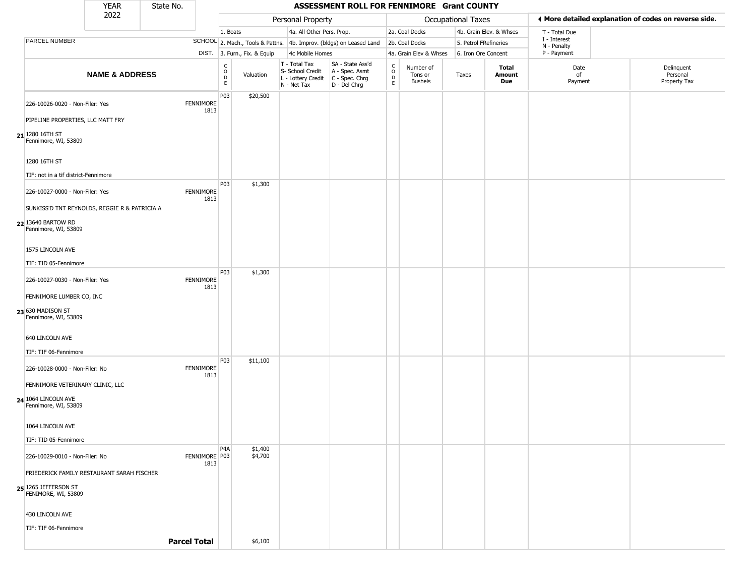| ♦ More detailed explanation of codes on reverse side.<br>Personal Property<br>Occupational Taxes<br>4a. All Other Pers. Prop.<br>2a. Coal Docks<br>4b. Grain Elev. & Whses<br>1. Boats<br>T - Total Due<br>I - Interest<br>PARCEL NUMBER<br>SCHOOL 2. Mach., Tools & Pattns. 4b. Improv. (bldgs) on Leased Land<br>5. Petrol FRefineries<br>2b. Coal Docks<br>N - Penalty<br>DIST. 3. Furn., Fix. & Equip<br>4c Mobile Homes<br>4a. Grain Elev & Whses<br>6. Iron Ore Concent<br>P - Payment<br>SA - State Ass'd<br>T - Total Tax<br>$\begin{array}{c} C \\ O \\ E \end{array}$<br>C<br>Date<br>Delinquent<br>Number of<br>Total<br>S- School Credit<br>A - Spec. Asmt<br>$\circ$<br><b>NAME &amp; ADDRESS</b><br>Valuation<br>Tons or<br>Taxes<br>Amount<br>of<br>Personal<br>L - Lottery Credit   C - Spec. Chrg<br>D<br><b>Bushels</b><br>Due<br>Payment<br>Property Tax<br>E<br>N - Net Tax<br>D - Del Chrg<br>P03<br>\$20,500<br><b>FENNIMORE</b><br>226-10026-0020 - Non-Filer: Yes<br>1813<br>PIPELINE PROPERTIES, LLC MATT FRY<br>Fennimore, WI, 53809<br>1280 16TH ST<br>TIF: not in a tif district-Fennimore<br>P03<br>\$1,300<br>226-10027-0000 - Non-Filer: Yes<br><b>FENNIMORE</b><br>1813<br>SUNKISS'D TNT REYNOLDS, REGGIE R & PATRICIA A<br>Fennimore, WI, 53809<br>1575 LINCOLN AVE<br>TIF: TID 05-Fennimore<br>P03<br>\$1,300<br>FENNIMORE<br>226-10027-0030 - Non-Filer: Yes<br>1813<br>FENNIMORE LUMBER CO, INC<br>Fennimore, WI, 53809<br>640 LINCOLN AVE<br>TIF: TIF 06-Fennimore<br><b>P03</b><br>\$11,100<br><b>FENNIMORE</b><br>226-10028-0000 - Non-Filer: No<br>1813<br>FENNIMORE VETERINARY CLINIC, LLC<br>Fennimore, WI, 53809<br>1064 LINCOLN AVE<br>TIF: TID 05-Fennimore<br>P <sub>4</sub> A<br>\$1,400<br>FENNIMORE P03<br>\$4,700<br>226-10029-0010 - Non-Filer: No<br>1813<br>FRIEDERICK FAMILY RESTAURANT SARAH FISCHER<br>FENIMORE, WI, 53809<br>430 LINCOLN AVE<br>TIF: TIF 06-Fennimore<br><b>Parcel Total</b><br>\$6,100 |                              | <b>YEAR</b> | State No. |  |  | ASSESSMENT ROLL FOR FENNIMORE Grant COUNTY |  |  |  |  |
|------------------------------------------------------------------------------------------------------------------------------------------------------------------------------------------------------------------------------------------------------------------------------------------------------------------------------------------------------------------------------------------------------------------------------------------------------------------------------------------------------------------------------------------------------------------------------------------------------------------------------------------------------------------------------------------------------------------------------------------------------------------------------------------------------------------------------------------------------------------------------------------------------------------------------------------------------------------------------------------------------------------------------------------------------------------------------------------------------------------------------------------------------------------------------------------------------------------------------------------------------------------------------------------------------------------------------------------------------------------------------------------------------------------------------------------------------------------------------------------------------------------------------------------------------------------------------------------------------------------------------------------------------------------------------------------------------------------------------------------------------------------------------------------------------------------------------------------------------------------------------------------------------------------------------------------------------------------|------------------------------|-------------|-----------|--|--|--------------------------------------------|--|--|--|--|
|                                                                                                                                                                                                                                                                                                                                                                                                                                                                                                                                                                                                                                                                                                                                                                                                                                                                                                                                                                                                                                                                                                                                                                                                                                                                                                                                                                                                                                                                                                                                                                                                                                                                                                                                                                                                                                                                                                                                                                  |                              | 2022        |           |  |  |                                            |  |  |  |  |
|                                                                                                                                                                                                                                                                                                                                                                                                                                                                                                                                                                                                                                                                                                                                                                                                                                                                                                                                                                                                                                                                                                                                                                                                                                                                                                                                                                                                                                                                                                                                                                                                                                                                                                                                                                                                                                                                                                                                                                  |                              |             |           |  |  |                                            |  |  |  |  |
|                                                                                                                                                                                                                                                                                                                                                                                                                                                                                                                                                                                                                                                                                                                                                                                                                                                                                                                                                                                                                                                                                                                                                                                                                                                                                                                                                                                                                                                                                                                                                                                                                                                                                                                                                                                                                                                                                                                                                                  |                              |             |           |  |  |                                            |  |  |  |  |
|                                                                                                                                                                                                                                                                                                                                                                                                                                                                                                                                                                                                                                                                                                                                                                                                                                                                                                                                                                                                                                                                                                                                                                                                                                                                                                                                                                                                                                                                                                                                                                                                                                                                                                                                                                                                                                                                                                                                                                  |                              |             |           |  |  |                                            |  |  |  |  |
|                                                                                                                                                                                                                                                                                                                                                                                                                                                                                                                                                                                                                                                                                                                                                                                                                                                                                                                                                                                                                                                                                                                                                                                                                                                                                                                                                                                                                                                                                                                                                                                                                                                                                                                                                                                                                                                                                                                                                                  |                              |             |           |  |  |                                            |  |  |  |  |
|                                                                                                                                                                                                                                                                                                                                                                                                                                                                                                                                                                                                                                                                                                                                                                                                                                                                                                                                                                                                                                                                                                                                                                                                                                                                                                                                                                                                                                                                                                                                                                                                                                                                                                                                                                                                                                                                                                                                                                  |                              |             |           |  |  |                                            |  |  |  |  |
|                                                                                                                                                                                                                                                                                                                                                                                                                                                                                                                                                                                                                                                                                                                                                                                                                                                                                                                                                                                                                                                                                                                                                                                                                                                                                                                                                                                                                                                                                                                                                                                                                                                                                                                                                                                                                                                                                                                                                                  |                              |             |           |  |  |                                            |  |  |  |  |
|                                                                                                                                                                                                                                                                                                                                                                                                                                                                                                                                                                                                                                                                                                                                                                                                                                                                                                                                                                                                                                                                                                                                                                                                                                                                                                                                                                                                                                                                                                                                                                                                                                                                                                                                                                                                                                                                                                                                                                  | $21$ <sup>1280</sup> 16TH ST |             |           |  |  |                                            |  |  |  |  |
|                                                                                                                                                                                                                                                                                                                                                                                                                                                                                                                                                                                                                                                                                                                                                                                                                                                                                                                                                                                                                                                                                                                                                                                                                                                                                                                                                                                                                                                                                                                                                                                                                                                                                                                                                                                                                                                                                                                                                                  |                              |             |           |  |  |                                            |  |  |  |  |
|                                                                                                                                                                                                                                                                                                                                                                                                                                                                                                                                                                                                                                                                                                                                                                                                                                                                                                                                                                                                                                                                                                                                                                                                                                                                                                                                                                                                                                                                                                                                                                                                                                                                                                                                                                                                                                                                                                                                                                  |                              |             |           |  |  |                                            |  |  |  |  |
|                                                                                                                                                                                                                                                                                                                                                                                                                                                                                                                                                                                                                                                                                                                                                                                                                                                                                                                                                                                                                                                                                                                                                                                                                                                                                                                                                                                                                                                                                                                                                                                                                                                                                                                                                                                                                                                                                                                                                                  |                              |             |           |  |  |                                            |  |  |  |  |
|                                                                                                                                                                                                                                                                                                                                                                                                                                                                                                                                                                                                                                                                                                                                                                                                                                                                                                                                                                                                                                                                                                                                                                                                                                                                                                                                                                                                                                                                                                                                                                                                                                                                                                                                                                                                                                                                                                                                                                  |                              |             |           |  |  |                                            |  |  |  |  |
|                                                                                                                                                                                                                                                                                                                                                                                                                                                                                                                                                                                                                                                                                                                                                                                                                                                                                                                                                                                                                                                                                                                                                                                                                                                                                                                                                                                                                                                                                                                                                                                                                                                                                                                                                                                                                                                                                                                                                                  | 22 13640 BARTOW RD           |             |           |  |  |                                            |  |  |  |  |
|                                                                                                                                                                                                                                                                                                                                                                                                                                                                                                                                                                                                                                                                                                                                                                                                                                                                                                                                                                                                                                                                                                                                                                                                                                                                                                                                                                                                                                                                                                                                                                                                                                                                                                                                                                                                                                                                                                                                                                  |                              |             |           |  |  |                                            |  |  |  |  |
|                                                                                                                                                                                                                                                                                                                                                                                                                                                                                                                                                                                                                                                                                                                                                                                                                                                                                                                                                                                                                                                                                                                                                                                                                                                                                                                                                                                                                                                                                                                                                                                                                                                                                                                                                                                                                                                                                                                                                                  |                              |             |           |  |  |                                            |  |  |  |  |
|                                                                                                                                                                                                                                                                                                                                                                                                                                                                                                                                                                                                                                                                                                                                                                                                                                                                                                                                                                                                                                                                                                                                                                                                                                                                                                                                                                                                                                                                                                                                                                                                                                                                                                                                                                                                                                                                                                                                                                  |                              |             |           |  |  |                                            |  |  |  |  |
|                                                                                                                                                                                                                                                                                                                                                                                                                                                                                                                                                                                                                                                                                                                                                                                                                                                                                                                                                                                                                                                                                                                                                                                                                                                                                                                                                                                                                                                                                                                                                                                                                                                                                                                                                                                                                                                                                                                                                                  |                              |             |           |  |  |                                            |  |  |  |  |
|                                                                                                                                                                                                                                                                                                                                                                                                                                                                                                                                                                                                                                                                                                                                                                                                                                                                                                                                                                                                                                                                                                                                                                                                                                                                                                                                                                                                                                                                                                                                                                                                                                                                                                                                                                                                                                                                                                                                                                  | 23 630 MADISON ST            |             |           |  |  |                                            |  |  |  |  |
|                                                                                                                                                                                                                                                                                                                                                                                                                                                                                                                                                                                                                                                                                                                                                                                                                                                                                                                                                                                                                                                                                                                                                                                                                                                                                                                                                                                                                                                                                                                                                                                                                                                                                                                                                                                                                                                                                                                                                                  |                              |             |           |  |  |                                            |  |  |  |  |
|                                                                                                                                                                                                                                                                                                                                                                                                                                                                                                                                                                                                                                                                                                                                                                                                                                                                                                                                                                                                                                                                                                                                                                                                                                                                                                                                                                                                                                                                                                                                                                                                                                                                                                                                                                                                                                                                                                                                                                  |                              |             |           |  |  |                                            |  |  |  |  |
|                                                                                                                                                                                                                                                                                                                                                                                                                                                                                                                                                                                                                                                                                                                                                                                                                                                                                                                                                                                                                                                                                                                                                                                                                                                                                                                                                                                                                                                                                                                                                                                                                                                                                                                                                                                                                                                                                                                                                                  |                              |             |           |  |  |                                            |  |  |  |  |
|                                                                                                                                                                                                                                                                                                                                                                                                                                                                                                                                                                                                                                                                                                                                                                                                                                                                                                                                                                                                                                                                                                                                                                                                                                                                                                                                                                                                                                                                                                                                                                                                                                                                                                                                                                                                                                                                                                                                                                  |                              |             |           |  |  |                                            |  |  |  |  |
|                                                                                                                                                                                                                                                                                                                                                                                                                                                                                                                                                                                                                                                                                                                                                                                                                                                                                                                                                                                                                                                                                                                                                                                                                                                                                                                                                                                                                                                                                                                                                                                                                                                                                                                                                                                                                                                                                                                                                                  | <b>24</b> 1064 LINCOLN AVE   |             |           |  |  |                                            |  |  |  |  |
|                                                                                                                                                                                                                                                                                                                                                                                                                                                                                                                                                                                                                                                                                                                                                                                                                                                                                                                                                                                                                                                                                                                                                                                                                                                                                                                                                                                                                                                                                                                                                                                                                                                                                                                                                                                                                                                                                                                                                                  |                              |             |           |  |  |                                            |  |  |  |  |
|                                                                                                                                                                                                                                                                                                                                                                                                                                                                                                                                                                                                                                                                                                                                                                                                                                                                                                                                                                                                                                                                                                                                                                                                                                                                                                                                                                                                                                                                                                                                                                                                                                                                                                                                                                                                                                                                                                                                                                  |                              |             |           |  |  |                                            |  |  |  |  |
|                                                                                                                                                                                                                                                                                                                                                                                                                                                                                                                                                                                                                                                                                                                                                                                                                                                                                                                                                                                                                                                                                                                                                                                                                                                                                                                                                                                                                                                                                                                                                                                                                                                                                                                                                                                                                                                                                                                                                                  |                              |             |           |  |  |                                            |  |  |  |  |
|                                                                                                                                                                                                                                                                                                                                                                                                                                                                                                                                                                                                                                                                                                                                                                                                                                                                                                                                                                                                                                                                                                                                                                                                                                                                                                                                                                                                                                                                                                                                                                                                                                                                                                                                                                                                                                                                                                                                                                  |                              |             |           |  |  |                                            |  |  |  |  |
|                                                                                                                                                                                                                                                                                                                                                                                                                                                                                                                                                                                                                                                                                                                                                                                                                                                                                                                                                                                                                                                                                                                                                                                                                                                                                                                                                                                                                                                                                                                                                                                                                                                                                                                                                                                                                                                                                                                                                                  | 25 1265 JEFFERSON ST         |             |           |  |  |                                            |  |  |  |  |
|                                                                                                                                                                                                                                                                                                                                                                                                                                                                                                                                                                                                                                                                                                                                                                                                                                                                                                                                                                                                                                                                                                                                                                                                                                                                                                                                                                                                                                                                                                                                                                                                                                                                                                                                                                                                                                                                                                                                                                  |                              |             |           |  |  |                                            |  |  |  |  |
|                                                                                                                                                                                                                                                                                                                                                                                                                                                                                                                                                                                                                                                                                                                                                                                                                                                                                                                                                                                                                                                                                                                                                                                                                                                                                                                                                                                                                                                                                                                                                                                                                                                                                                                                                                                                                                                                                                                                                                  |                              |             |           |  |  |                                            |  |  |  |  |
|                                                                                                                                                                                                                                                                                                                                                                                                                                                                                                                                                                                                                                                                                                                                                                                                                                                                                                                                                                                                                                                                                                                                                                                                                                                                                                                                                                                                                                                                                                                                                                                                                                                                                                                                                                                                                                                                                                                                                                  |                              |             |           |  |  |                                            |  |  |  |  |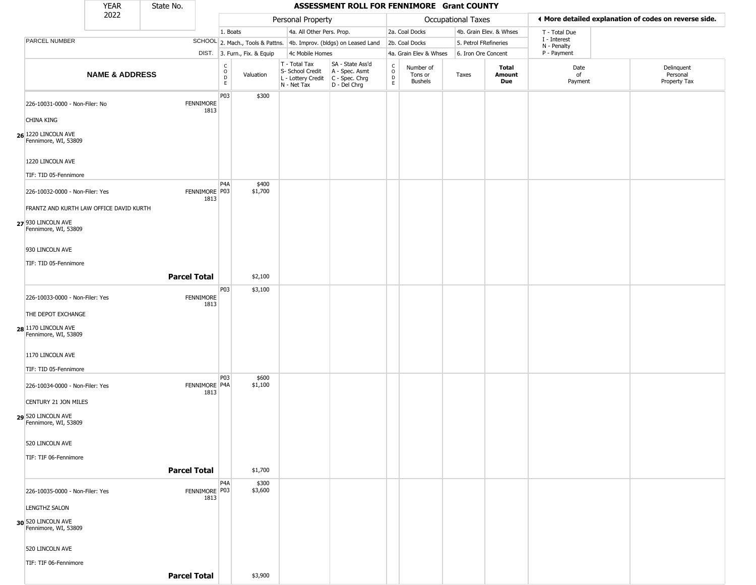|                                                                    | <b>YEAR</b>               | State No.           |                          |                                                          |                              |                                                  | ASSESSMENT ROLL FOR FENNIMORE Grant COUNTY                                                |                             |                                        |                       |                         |                             |                                                       |
|--------------------------------------------------------------------|---------------------------|---------------------|--------------------------|----------------------------------------------------------|------------------------------|--------------------------------------------------|-------------------------------------------------------------------------------------------|-----------------------------|----------------------------------------|-----------------------|-------------------------|-----------------------------|-------------------------------------------------------|
|                                                                    | 2022                      |                     |                          |                                                          |                              | Personal Property                                |                                                                                           |                             |                                        | Occupational Taxes    |                         |                             | ♦ More detailed explanation of codes on reverse side. |
|                                                                    |                           |                     |                          | 1. Boats                                                 |                              | 4a. All Other Pers. Prop.                        |                                                                                           |                             | 2a. Coal Docks                         |                       | 4b. Grain Elev. & Whses | T - Total Due               |                                                       |
| PARCEL NUMBER                                                      |                           |                     |                          |                                                          |                              |                                                  | SCHOOL 2. Mach., Tools & Pattns. 4b. Improv. (bldgs) on Leased Land                       |                             | 2b. Coal Docks                         | 5. Petrol FRefineries |                         | I - Interest<br>N - Penalty |                                                       |
|                                                                    |                           |                     |                          |                                                          | DIST. 3. Furn., Fix. & Equip | 4c Mobile Homes                                  |                                                                                           |                             | 4a. Grain Elev & Whses                 | 6. Iron Ore Concent   |                         | P - Payment                 |                                                       |
|                                                                    | <b>NAME &amp; ADDRESS</b> |                     |                          | $\begin{matrix} 0 \\ 0 \\ D \end{matrix}$<br>$\mathsf E$ | Valuation                    | T - Total Tax<br>S- School Credit<br>N - Net Tax | SA - State Ass'd<br>A - Spec. Asmt<br>L - Lottery Credit   C - Spec. Chrg<br>D - Del Chrg | C<br>$\mathsf{o}$<br>D<br>E | Number of<br>Tons or<br><b>Bushels</b> | Taxes                 | Total<br>Amount<br>Due  | Date<br>of<br>Payment       | Delinquent<br>Personal<br>Property Tax                |
| 226-10031-0000 - Non-Filer: No                                     |                           |                     | <b>FENNIMORE</b><br>1813 | P03                                                      | \$300                        |                                                  |                                                                                           |                             |                                        |                       |                         |                             |                                                       |
| CHINA KING                                                         |                           |                     |                          |                                                          |                              |                                                  |                                                                                           |                             |                                        |                       |                         |                             |                                                       |
| <b>26</b> 1220 LINCOLN AVE<br>Fennimore, WI, 53809                 |                           |                     |                          |                                                          |                              |                                                  |                                                                                           |                             |                                        |                       |                         |                             |                                                       |
| 1220 LINCOLN AVE<br>TIF: TID 05-Fennimore                          |                           |                     |                          |                                                          |                              |                                                  |                                                                                           |                             |                                        |                       |                         |                             |                                                       |
| 226-10032-0000 - Non-Filer: Yes                                    |                           |                     | FENNIMORE P03<br>1813    | P <sub>4</sub> A                                         | \$400<br>\$1,700             |                                                  |                                                                                           |                             |                                        |                       |                         |                             |                                                       |
| FRANTZ AND KURTH LAW OFFICE DAVID KURTH                            |                           |                     |                          |                                                          |                              |                                                  |                                                                                           |                             |                                        |                       |                         |                             |                                                       |
| 27 930 LINCOLN AVE<br>Fennimore, WI, 53809                         |                           |                     |                          |                                                          |                              |                                                  |                                                                                           |                             |                                        |                       |                         |                             |                                                       |
| 930 LINCOLN AVE                                                    |                           |                     |                          |                                                          |                              |                                                  |                                                                                           |                             |                                        |                       |                         |                             |                                                       |
| TIF: TID 05-Fennimore                                              |                           |                     |                          |                                                          |                              |                                                  |                                                                                           |                             |                                        |                       |                         |                             |                                                       |
|                                                                    |                           | <b>Parcel Total</b> |                          |                                                          | \$2,100                      |                                                  |                                                                                           |                             |                                        |                       |                         |                             |                                                       |
| 226-10033-0000 - Non-Filer: Yes                                    |                           |                     | FENNIMORE<br>1813        | P03                                                      | \$3,100                      |                                                  |                                                                                           |                             |                                        |                       |                         |                             |                                                       |
| THE DEPOT EXCHANGE                                                 |                           |                     |                          |                                                          |                              |                                                  |                                                                                           |                             |                                        |                       |                         |                             |                                                       |
| 28 1170 LINCOLN AVE<br>Fennimore, WI, 53809                        |                           |                     |                          |                                                          |                              |                                                  |                                                                                           |                             |                                        |                       |                         |                             |                                                       |
| 1170 LINCOLN AVE                                                   |                           |                     |                          |                                                          |                              |                                                  |                                                                                           |                             |                                        |                       |                         |                             |                                                       |
| TIF: TID 05-Fennimore                                              |                           |                     |                          |                                                          |                              |                                                  |                                                                                           |                             |                                        |                       |                         |                             |                                                       |
| 226-10034-0000 - Non-Filer: Yes                                    |                           |                     | FENNIMORE P4A<br>1813    | P03                                                      | \$600<br>\$1,100             |                                                  |                                                                                           |                             |                                        |                       |                         |                             |                                                       |
| CENTURY 21 JON MILES<br>29 520 LINCOLN AVE<br>Fennimore, WI, 53809 |                           |                     |                          |                                                          |                              |                                                  |                                                                                           |                             |                                        |                       |                         |                             |                                                       |
|                                                                    |                           |                     |                          |                                                          |                              |                                                  |                                                                                           |                             |                                        |                       |                         |                             |                                                       |
| 520 LINCOLN AVE<br>TIF: TIF 06-Fennimore                           |                           |                     |                          |                                                          |                              |                                                  |                                                                                           |                             |                                        |                       |                         |                             |                                                       |
|                                                                    |                           | <b>Parcel Total</b> |                          |                                                          | \$1,700                      |                                                  |                                                                                           |                             |                                        |                       |                         |                             |                                                       |
|                                                                    |                           |                     |                          | P <sub>4</sub> A                                         | \$300                        |                                                  |                                                                                           |                             |                                        |                       |                         |                             |                                                       |
| 226-10035-0000 - Non-Filer: Yes                                    |                           |                     | FENNIMORE P03<br>1813    |                                                          | \$3,600                      |                                                  |                                                                                           |                             |                                        |                       |                         |                             |                                                       |
| <b>LENGTHZ SALON</b>                                               |                           |                     |                          |                                                          |                              |                                                  |                                                                                           |                             |                                        |                       |                         |                             |                                                       |
| 30 520 LINCOLN AVE<br>Fennimore, WI, 53809                         |                           |                     |                          |                                                          |                              |                                                  |                                                                                           |                             |                                        |                       |                         |                             |                                                       |
| 520 LINCOLN AVE                                                    |                           |                     |                          |                                                          |                              |                                                  |                                                                                           |                             |                                        |                       |                         |                             |                                                       |
| TIF: TIF 06-Fennimore                                              |                           |                     |                          |                                                          |                              |                                                  |                                                                                           |                             |                                        |                       |                         |                             |                                                       |
|                                                                    |                           | <b>Parcel Total</b> |                          |                                                          | \$3,900                      |                                                  |                                                                                           |                             |                                        |                       |                         |                             |                                                       |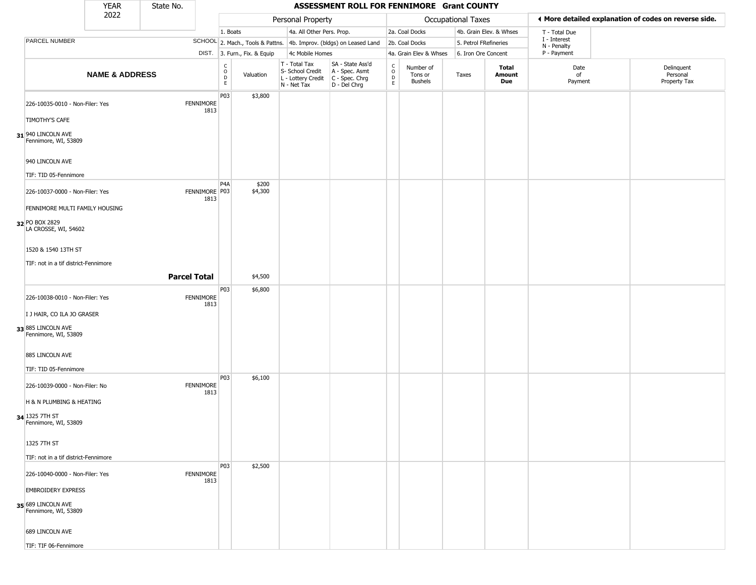|                                              | <b>YEAR</b>               | State No.           |                          |                                                 |                              |                                                                                         | ASSESSMENT ROLL FOR FENNIMORE Grant COUNTY                          |                                              |                                        |                    |                       |                         |                             |                                                       |
|----------------------------------------------|---------------------------|---------------------|--------------------------|-------------------------------------------------|------------------------------|-----------------------------------------------------------------------------------------|---------------------------------------------------------------------|----------------------------------------------|----------------------------------------|--------------------|-----------------------|-------------------------|-----------------------------|-------------------------------------------------------|
|                                              | 2022                      |                     |                          |                                                 |                              | Personal Property                                                                       |                                                                     |                                              |                                        | Occupational Taxes |                       |                         |                             | ◀ More detailed explanation of codes on reverse side. |
|                                              |                           |                     |                          | 1. Boats                                        |                              | 4a. All Other Pers. Prop.                                                               |                                                                     |                                              | 2a. Coal Docks                         |                    |                       | 4b. Grain Elev. & Whses | T - Total Due               |                                                       |
| PARCEL NUMBER                                |                           |                     |                          |                                                 |                              |                                                                                         | SCHOOL 2. Mach., Tools & Pattns. 4b. Improv. (bldgs) on Leased Land |                                              | 2b. Coal Docks                         |                    | 5. Petrol FRefineries |                         | I - Interest<br>N - Penalty |                                                       |
|                                              |                           |                     |                          |                                                 | DIST. 3. Furn., Fix. & Equip | 4c Mobile Homes                                                                         |                                                                     |                                              | 4a. Grain Elev & Whses                 |                    | 6. Iron Ore Concent   |                         | P - Payment                 |                                                       |
|                                              | <b>NAME &amp; ADDRESS</b> |                     |                          | $\begin{array}{c} C \\ O \\ D \\ E \end{array}$ | Valuation                    | T - Total Tax<br>S- School Credit<br>L - Lottery Credit   C - Spec. Chrg<br>N - Net Tax | SA - State Ass'd<br>A - Spec. Asmt<br>$D - Del Chrg$                | $\begin{array}{c}\nC \\ O \\ D\n\end{array}$ | Number of<br>Tons or<br><b>Bushels</b> | Taxes              |                       | Total<br>Amount<br>Due  | Date<br>of<br>Payment       | Delinquent<br>Personal<br>Property Tax                |
| 226-10035-0010 - Non-Filer: Yes              |                           |                     | <b>FENNIMORE</b><br>1813 | P03                                             | \$3,800                      |                                                                                         |                                                                     |                                              |                                        |                    |                       |                         |                             |                                                       |
| <b>TIMOTHY'S CAFE</b>                        |                           |                     |                          |                                                 |                              |                                                                                         |                                                                     |                                              |                                        |                    |                       |                         |                             |                                                       |
| $31$ 940 LINCOLN AVE<br>Fennimore, WI, 53809 |                           |                     |                          |                                                 |                              |                                                                                         |                                                                     |                                              |                                        |                    |                       |                         |                             |                                                       |
| 940 LINCOLN AVE                              |                           |                     |                          |                                                 |                              |                                                                                         |                                                                     |                                              |                                        |                    |                       |                         |                             |                                                       |
| TIF: TID 05-Fennimore                        |                           |                     |                          |                                                 |                              |                                                                                         |                                                                     |                                              |                                        |                    |                       |                         |                             |                                                       |
| 226-10037-0000 - Non-Filer: Yes              |                           |                     | FENNIMORE P03<br>1813    | P4A                                             | \$200<br>\$4,300             |                                                                                         |                                                                     |                                              |                                        |                    |                       |                         |                             |                                                       |
| FENNIMORE MULTI FAMILY HOUSING               |                           |                     |                          |                                                 |                              |                                                                                         |                                                                     |                                              |                                        |                    |                       |                         |                             |                                                       |
| 32 PO BOX 2829<br>LA CROSSE, WI, 54602       |                           |                     |                          |                                                 |                              |                                                                                         |                                                                     |                                              |                                        |                    |                       |                         |                             |                                                       |
| 1520 & 1540 13TH ST                          |                           |                     |                          |                                                 |                              |                                                                                         |                                                                     |                                              |                                        |                    |                       |                         |                             |                                                       |
| TIF: not in a tif district-Fennimore         |                           |                     |                          |                                                 |                              |                                                                                         |                                                                     |                                              |                                        |                    |                       |                         |                             |                                                       |
|                                              |                           | <b>Parcel Total</b> |                          |                                                 | \$4,500                      |                                                                                         |                                                                     |                                              |                                        |                    |                       |                         |                             |                                                       |
| 226-10038-0010 - Non-Filer: Yes              |                           |                     | <b>FENNIMORE</b>         | P03                                             | \$6,800                      |                                                                                         |                                                                     |                                              |                                        |                    |                       |                         |                             |                                                       |
| I J HAIR, CO ILA JO GRASER                   |                           |                     | 1813                     |                                                 |                              |                                                                                         |                                                                     |                                              |                                        |                    |                       |                         |                             |                                                       |
| 33 885 LINCOLN AVE<br>Fennimore, WI, 53809   |                           |                     |                          |                                                 |                              |                                                                                         |                                                                     |                                              |                                        |                    |                       |                         |                             |                                                       |
| 885 LINCOLN AVE                              |                           |                     |                          |                                                 |                              |                                                                                         |                                                                     |                                              |                                        |                    |                       |                         |                             |                                                       |
| TIF: TID 05-Fennimore                        |                           |                     |                          | P03                                             | \$6,100                      |                                                                                         |                                                                     |                                              |                                        |                    |                       |                         |                             |                                                       |
| 226-10039-0000 - Non-Filer: No               |                           |                     | <b>FENNIMORE</b><br>1813 |                                                 |                              |                                                                                         |                                                                     |                                              |                                        |                    |                       |                         |                             |                                                       |
| H & N PLUMBING & HEATING                     |                           |                     |                          |                                                 |                              |                                                                                         |                                                                     |                                              |                                        |                    |                       |                         |                             |                                                       |
| 34 1325 7TH ST<br>Fennimore, WI, 53809       |                           |                     |                          |                                                 |                              |                                                                                         |                                                                     |                                              |                                        |                    |                       |                         |                             |                                                       |
| 1325 7TH ST                                  |                           |                     |                          |                                                 |                              |                                                                                         |                                                                     |                                              |                                        |                    |                       |                         |                             |                                                       |
| TIF: not in a tif district-Fennimore         |                           |                     |                          |                                                 |                              |                                                                                         |                                                                     |                                              |                                        |                    |                       |                         |                             |                                                       |
| 226-10040-0000 - Non-Filer: Yes              |                           |                     | <b>FENNIMORE</b><br>1813 | <b>P03</b>                                      | \$2,500                      |                                                                                         |                                                                     |                                              |                                        |                    |                       |                         |                             |                                                       |
| <b>EMBROIDERY EXPRESS</b>                    |                           |                     |                          |                                                 |                              |                                                                                         |                                                                     |                                              |                                        |                    |                       |                         |                             |                                                       |
| 35 689 LINCOLN AVE<br>Fennimore, WI, 53809   |                           |                     |                          |                                                 |                              |                                                                                         |                                                                     |                                              |                                        |                    |                       |                         |                             |                                                       |
| 689 LINCOLN AVE                              |                           |                     |                          |                                                 |                              |                                                                                         |                                                                     |                                              |                                        |                    |                       |                         |                             |                                                       |
| TIF: TIF 06-Fennimore                        |                           |                     |                          |                                                 |                              |                                                                                         |                                                                     |                                              |                                        |                    |                       |                         |                             |                                                       |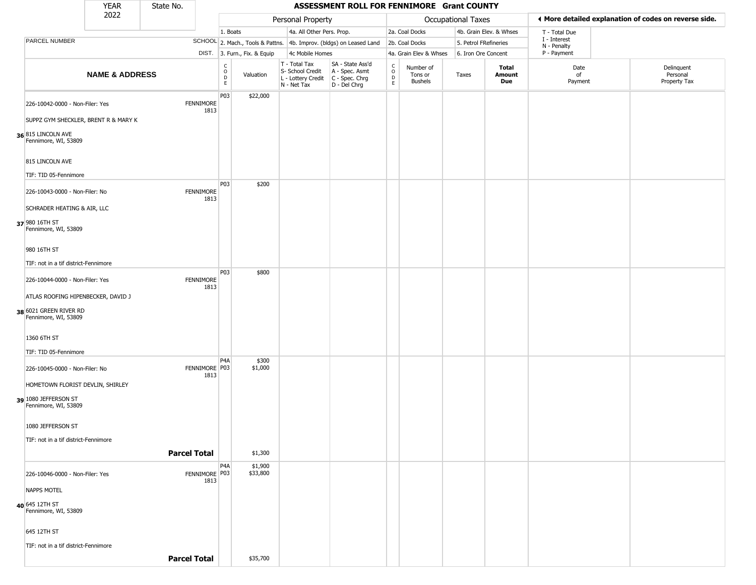|                                                | <b>YEAR</b>               | State No.           |                          |                            |                              |                                                                        | ASSESSMENT ROLL FOR FENNIMORE Grant COUNTY                             |                      |                                        |                    |                         |                             |                                                       |
|------------------------------------------------|---------------------------|---------------------|--------------------------|----------------------------|------------------------------|------------------------------------------------------------------------|------------------------------------------------------------------------|----------------------|----------------------------------------|--------------------|-------------------------|-----------------------------|-------------------------------------------------------|
|                                                | 2022                      |                     |                          |                            |                              | Personal Property                                                      |                                                                        |                      |                                        | Occupational Taxes |                         |                             | I More detailed explanation of codes on reverse side. |
|                                                |                           |                     |                          | 1. Boats                   |                              | 4a. All Other Pers. Prop.                                              |                                                                        |                      | 2a. Coal Docks                         |                    | 4b. Grain Elev. & Whses | T - Total Due               |                                                       |
| PARCEL NUMBER                                  |                           |                     |                          |                            |                              |                                                                        | SCHOOL 2. Mach., Tools & Pattns. 4b. Improv. (bldgs) on Leased Land    |                      | 2b. Coal Docks                         |                    | 5. Petrol FRefineries   | I - Interest<br>N - Penalty |                                                       |
|                                                |                           |                     |                          |                            | DIST. 3. Furn., Fix. & Equip | 4c Mobile Homes                                                        |                                                                        |                      | 4a. Grain Elev & Whses                 |                    | 6. Iron Ore Concent     | P - Payment                 |                                                       |
|                                                | <b>NAME &amp; ADDRESS</b> |                     |                          | C<br>$\mathsf O$<br>D<br>E | Valuation                    | T - Total Tax<br>S- School Credit<br>L - Lottery Credit<br>N - Net Tax | SA - State Ass'd<br>A - Spec. Asmt<br>$C - Spec. Chrg$<br>D - Del Chrg | $\rm ^c_o$<br>D<br>E | Number of<br>Tons or<br><b>Bushels</b> | Taxes              | Total<br>Amount<br>Due  | Date<br>of<br>Payment       | Delinquent<br>Personal<br>Property Tax                |
| 226-10042-0000 - Non-Filer: Yes                |                           |                     | <b>FENNIMORE</b><br>1813 | P03                        | \$22,000                     |                                                                        |                                                                        |                      |                                        |                    |                         |                             |                                                       |
| SUPPZ GYM SHECKLER, BRENT R & MARY K           |                           |                     |                          |                            |                              |                                                                        |                                                                        |                      |                                        |                    |                         |                             |                                                       |
| 36 815 LINCOLN AVE<br>Fennimore, WI, 53809     |                           |                     |                          |                            |                              |                                                                        |                                                                        |                      |                                        |                    |                         |                             |                                                       |
| 815 LINCOLN AVE                                |                           |                     |                          |                            |                              |                                                                        |                                                                        |                      |                                        |                    |                         |                             |                                                       |
| TIF: TID 05-Fennimore                          |                           |                     |                          |                            |                              |                                                                        |                                                                        |                      |                                        |                    |                         |                             |                                                       |
| 226-10043-0000 - Non-Filer: No                 |                           |                     | <b>FENNIMORE</b><br>1813 | <b>P03</b>                 | \$200                        |                                                                        |                                                                        |                      |                                        |                    |                         |                             |                                                       |
| SCHRADER HEATING & AIR, LLC                    |                           |                     |                          |                            |                              |                                                                        |                                                                        |                      |                                        |                    |                         |                             |                                                       |
| 37 980 16TH ST<br>Fennimore, WI, 53809         |                           |                     |                          |                            |                              |                                                                        |                                                                        |                      |                                        |                    |                         |                             |                                                       |
| 980 16TH ST                                    |                           |                     |                          |                            |                              |                                                                        |                                                                        |                      |                                        |                    |                         |                             |                                                       |
| TIF: not in a tif district-Fennimore           |                           |                     |                          |                            |                              |                                                                        |                                                                        |                      |                                        |                    |                         |                             |                                                       |
| 226-10044-0000 - Non-Filer: Yes                |                           |                     | <b>FENNIMORE</b><br>1813 | P03                        | \$800                        |                                                                        |                                                                        |                      |                                        |                    |                         |                             |                                                       |
| ATLAS ROOFING HIPENBECKER, DAVID J             |                           |                     |                          |                            |                              |                                                                        |                                                                        |                      |                                        |                    |                         |                             |                                                       |
| 38 6021 GREEN RIVER RD<br>Fennimore, WI, 53809 |                           |                     |                          |                            |                              |                                                                        |                                                                        |                      |                                        |                    |                         |                             |                                                       |
| 1360 6TH ST                                    |                           |                     |                          |                            |                              |                                                                        |                                                                        |                      |                                        |                    |                         |                             |                                                       |
| TIF: TID 05-Fennimore                          |                           |                     |                          |                            |                              |                                                                        |                                                                        |                      |                                        |                    |                         |                             |                                                       |
| 226-10045-0000 - Non-Filer: No                 |                           |                     | FENNIMORE P03<br>1813    | P <sub>4</sub> A           | \$300<br>\$1,000             |                                                                        |                                                                        |                      |                                        |                    |                         |                             |                                                       |
| HOMETOWN FLORIST DEVLIN, SHIRLEY               |                           |                     |                          |                            |                              |                                                                        |                                                                        |                      |                                        |                    |                         |                             |                                                       |
| 39 1080 JEFFERSON ST<br>Fennimore, WI, 53809   |                           |                     |                          |                            |                              |                                                                        |                                                                        |                      |                                        |                    |                         |                             |                                                       |
| 1080 JEFFERSON ST                              |                           |                     |                          |                            |                              |                                                                        |                                                                        |                      |                                        |                    |                         |                             |                                                       |
| TIF: not in a tif district-Fennimore           |                           |                     |                          |                            |                              |                                                                        |                                                                        |                      |                                        |                    |                         |                             |                                                       |
|                                                |                           | <b>Parcel Total</b> |                          |                            | \$1,300                      |                                                                        |                                                                        |                      |                                        |                    |                         |                             |                                                       |
|                                                |                           |                     |                          | P4A                        | \$1,900                      |                                                                        |                                                                        |                      |                                        |                    |                         |                             |                                                       |
| 226-10046-0000 - Non-Filer: Yes                |                           |                     | FENNIMORE P03<br>1813    |                            | \$33,800                     |                                                                        |                                                                        |                      |                                        |                    |                         |                             |                                                       |
| <b>NAPPS MOTEL</b>                             |                           |                     |                          |                            |                              |                                                                        |                                                                        |                      |                                        |                    |                         |                             |                                                       |
| 40 645 12TH ST<br>Fennimore, WI, 53809         |                           |                     |                          |                            |                              |                                                                        |                                                                        |                      |                                        |                    |                         |                             |                                                       |
| 645 12TH ST                                    |                           |                     |                          |                            |                              |                                                                        |                                                                        |                      |                                        |                    |                         |                             |                                                       |
| TIF: not in a tif district-Fennimore           |                           |                     |                          |                            |                              |                                                                        |                                                                        |                      |                                        |                    |                         |                             |                                                       |
|                                                |                           | <b>Parcel Total</b> |                          |                            | \$35,700                     |                                                                        |                                                                        |                      |                                        |                    |                         |                             |                                                       |
|                                                |                           |                     |                          |                            |                              |                                                                        |                                                                        |                      |                                        |                    |                         |                             |                                                       |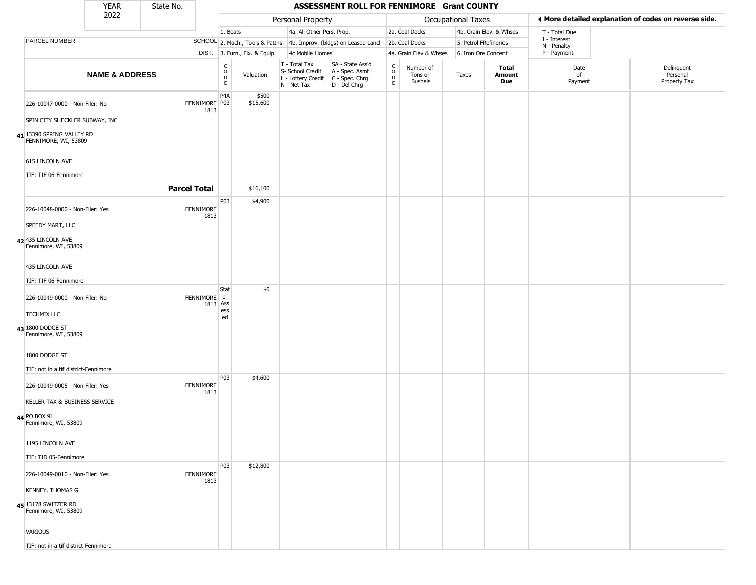|                |                                                   | <b>YEAR</b>               | State No.           |                          |                                                                    |                              |                                                                                         | ASSESSMENT ROLL FOR FENNIMORE Grant COUNTY                          |                                                          |                                        |                       |                         |                             |                                                       |
|----------------|---------------------------------------------------|---------------------------|---------------------|--------------------------|--------------------------------------------------------------------|------------------------------|-----------------------------------------------------------------------------------------|---------------------------------------------------------------------|----------------------------------------------------------|----------------------------------------|-----------------------|-------------------------|-----------------------------|-------------------------------------------------------|
|                |                                                   | 2022                      |                     |                          |                                                                    |                              | Personal Property                                                                       |                                                                     |                                                          |                                        | Occupational Taxes    |                         |                             | I More detailed explanation of codes on reverse side. |
|                |                                                   |                           |                     |                          | 1. Boats                                                           |                              | 4a. All Other Pers. Prop.                                                               |                                                                     |                                                          | 2a. Coal Docks                         |                       | 4b. Grain Elev. & Whses | T - Total Due               |                                                       |
|                | PARCEL NUMBER                                     |                           |                     |                          |                                                                    |                              |                                                                                         | SCHOOL 2. Mach., Tools & Pattns. 4b. Improv. (bldgs) on Leased Land |                                                          | 2b. Coal Docks                         | 5. Petrol FRefineries |                         | I - Interest<br>N - Penalty |                                                       |
|                |                                                   |                           |                     |                          |                                                                    | DIST. 3. Furn., Fix. & Equip | 4c Mobile Homes                                                                         |                                                                     |                                                          | 4a. Grain Elev & Whses                 | 6. Iron Ore Concent   |                         | P - Payment                 |                                                       |
|                |                                                   | <b>NAME &amp; ADDRESS</b> |                     |                          | $\begin{smallmatrix} C \\ O \\ D \end{smallmatrix}$<br>$\mathsf E$ | Valuation                    | T - Total Tax<br>S- School Credit<br>L - Lottery Credit   C - Spec. Chrg<br>N - Net Tax | SA - State Ass'd<br>A - Spec. Asmt<br>D - Del Chrg                  | $\begin{matrix} 0 \\ 0 \\ D \end{matrix}$<br>$\mathsf E$ | Number of<br>Tons or<br><b>Bushels</b> | Taxes                 | Total<br>Amount<br>Due  | Date<br>of<br>Payment       | Delinquent<br>Personal<br>Property Tax                |
|                | 226-10047-0000 - Non-Filer: No                    |                           |                     | FENNIMORE P03<br>1813    | P <sub>4</sub> A                                                   | \$500<br>\$15,600            |                                                                                         |                                                                     |                                                          |                                        |                       |                         |                             |                                                       |
|                | SPIN CITY SHECKLER SUBWAY, INC                    |                           |                     |                          |                                                                    |                              |                                                                                         |                                                                     |                                                          |                                        |                       |                         |                             |                                                       |
|                | 41 13390 SPRING VALLEY RD<br>FENNIMORE, WI, 53809 |                           |                     |                          |                                                                    |                              |                                                                                         |                                                                     |                                                          |                                        |                       |                         |                             |                                                       |
|                | 615 LINCOLN AVE                                   |                           |                     |                          |                                                                    |                              |                                                                                         |                                                                     |                                                          |                                        |                       |                         |                             |                                                       |
|                | TIF: TIF 06-Fennimore                             |                           |                     |                          |                                                                    |                              |                                                                                         |                                                                     |                                                          |                                        |                       |                         |                             |                                                       |
|                |                                                   |                           | <b>Parcel Total</b> |                          | P03                                                                | \$16,100                     |                                                                                         |                                                                     |                                                          |                                        |                       |                         |                             |                                                       |
|                | 226-10048-0000 - Non-Filer: Yes                   |                           |                     | <b>FENNIMORE</b><br>1813 |                                                                    | \$4,900                      |                                                                                         |                                                                     |                                                          |                                        |                       |                         |                             |                                                       |
|                | SPEEDY MART, LLC                                  |                           |                     |                          |                                                                    |                              |                                                                                         |                                                                     |                                                          |                                        |                       |                         |                             |                                                       |
|                | 42 435 LINCOLN AVE<br>Fennimore, WI, 53809        |                           |                     |                          |                                                                    |                              |                                                                                         |                                                                     |                                                          |                                        |                       |                         |                             |                                                       |
|                | 435 LINCOLN AVE                                   |                           |                     |                          |                                                                    |                              |                                                                                         |                                                                     |                                                          |                                        |                       |                         |                             |                                                       |
|                | TIF: TIF 06-Fennimore                             |                           |                     |                          |                                                                    |                              |                                                                                         |                                                                     |                                                          |                                        |                       |                         |                             |                                                       |
|                | 226-10049-0000 - Non-Filer: No                    |                           |                     | FENNIMORE e              | Stat<br>1813 Ass                                                   | \$0                          |                                                                                         |                                                                     |                                                          |                                        |                       |                         |                             |                                                       |
|                | <b>TECHMIX LLC</b>                                |                           |                     |                          | ess<br>ed                                                          |                              |                                                                                         |                                                                     |                                                          |                                        |                       |                         |                             |                                                       |
|                | 43 1800 DODGE ST<br>Fennimore, WI, 53809          |                           |                     |                          |                                                                    |                              |                                                                                         |                                                                     |                                                          |                                        |                       |                         |                             |                                                       |
|                | 1800 DODGE ST                                     |                           |                     |                          |                                                                    |                              |                                                                                         |                                                                     |                                                          |                                        |                       |                         |                             |                                                       |
|                | TIF: not in a tif district-Fennimore              |                           |                     |                          | P03                                                                | \$4,600                      |                                                                                         |                                                                     |                                                          |                                        |                       |                         |                             |                                                       |
|                | 226-10049-0005 - Non-Filer: Yes                   |                           |                     | <b>FENNIMORE</b><br>1813 |                                                                    |                              |                                                                                         |                                                                     |                                                          |                                        |                       |                         |                             |                                                       |
|                | KELLER TAX & BUSINESS SERVICE                     |                           |                     |                          |                                                                    |                              |                                                                                         |                                                                     |                                                          |                                        |                       |                         |                             |                                                       |
| 44 PO BOX 91   | Fennimore, WI, 53809                              |                           |                     |                          |                                                                    |                              |                                                                                         |                                                                     |                                                          |                                        |                       |                         |                             |                                                       |
|                | 1195 LINCOLN AVE                                  |                           |                     |                          |                                                                    |                              |                                                                                         |                                                                     |                                                          |                                        |                       |                         |                             |                                                       |
|                | TIF: TID 05-Fennimore                             |                           |                     |                          |                                                                    |                              |                                                                                         |                                                                     |                                                          |                                        |                       |                         |                             |                                                       |
|                | 226-10049-0010 - Non-Filer: Yes                   |                           |                     | FENNIMORE<br>1813        | P03                                                                | \$12,800                     |                                                                                         |                                                                     |                                                          |                                        |                       |                         |                             |                                                       |
|                | <b>KENNEY, THOMAS G</b>                           |                           |                     |                          |                                                                    |                              |                                                                                         |                                                                     |                                                          |                                        |                       |                         |                             |                                                       |
|                | 45 13178 SWITZER RD<br>Fennimore, WI, 53809       |                           |                     |                          |                                                                    |                              |                                                                                         |                                                                     |                                                          |                                        |                       |                         |                             |                                                       |
| <b>VARIOUS</b> |                                                   |                           |                     |                          |                                                                    |                              |                                                                                         |                                                                     |                                                          |                                        |                       |                         |                             |                                                       |
|                | TIF: not in a tif district-Fennimore              |                           |                     |                          |                                                                    |                              |                                                                                         |                                                                     |                                                          |                                        |                       |                         |                             |                                                       |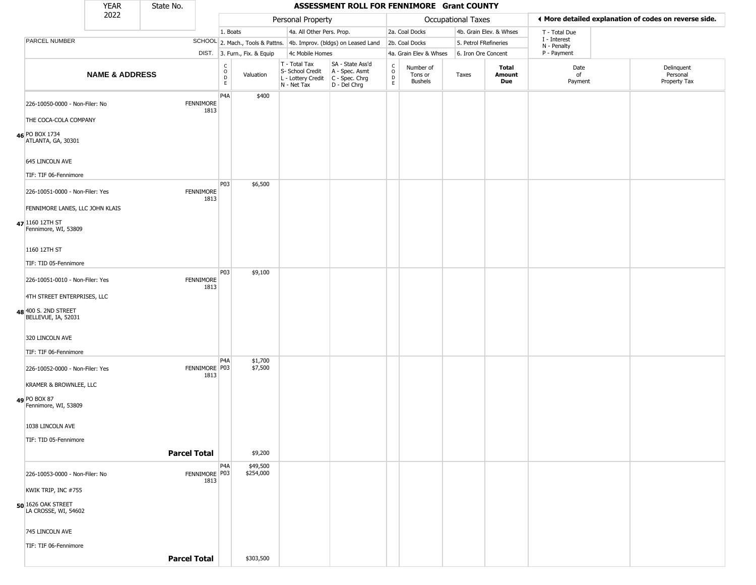|                                                   | <b>YEAR</b>               | State No. |                          |                                                 |                              |                                                                                       | ASSESSMENT ROLL FOR FENNIMORE Grant COUNTY                          |                                          |                                 |                       |                         |                               |                                                       |
|---------------------------------------------------|---------------------------|-----------|--------------------------|-------------------------------------------------|------------------------------|---------------------------------------------------------------------------------------|---------------------------------------------------------------------|------------------------------------------|---------------------------------|-----------------------|-------------------------|-------------------------------|-------------------------------------------------------|
|                                                   | 2022                      |           |                          |                                                 |                              | Personal Property                                                                     |                                                                     |                                          |                                 | Occupational Taxes    |                         |                               | ◀ More detailed explanation of codes on reverse side. |
|                                                   |                           |           |                          | 1. Boats                                        |                              | 4a. All Other Pers. Prop.                                                             |                                                                     |                                          | 2a. Coal Docks                  |                       | 4b. Grain Elev. & Whses | T - Total Due<br>I - Interest |                                                       |
| PARCEL NUMBER                                     |                           |           |                          |                                                 |                              |                                                                                       | SCHOOL 2. Mach., Tools & Pattns. 4b. Improv. (bldgs) on Leased Land |                                          | 2b. Coal Docks                  | 5. Petrol FRefineries |                         | N - Penalty                   |                                                       |
|                                                   |                           |           |                          |                                                 | DIST. 3. Furn., Fix. & Equip | 4c Mobile Homes                                                                       |                                                                     |                                          | 4a. Grain Elev & Whses          | 6. Iron Ore Concent   |                         | P - Payment                   |                                                       |
|                                                   | <b>NAME &amp; ADDRESS</b> |           |                          | $\begin{array}{c} C \\ O \\ D \\ E \end{array}$ | Valuation                    | T - Total Tax<br>S- School Credit<br>L - Lottery Credit C - Spec. Chrg<br>N - Net Tax | SA - State Ass'd<br>A - Spec. Asmt<br>D - Del Chrg                  | $_{\rm o}^{\rm c}$<br>$_{\rm E}^{\rm D}$ | Number of<br>Tons or<br>Bushels | Taxes                 | Total<br>Amount<br>Due  | Date<br>of<br>Payment         | Delinquent<br>Personal<br>Property Tax                |
| 226-10050-0000 - Non-Filer: No                    |                           |           | <b>FENNIMORE</b><br>1813 | P <sub>4</sub> A                                | \$400                        |                                                                                       |                                                                     |                                          |                                 |                       |                         |                               |                                                       |
| THE COCA-COLA COMPANY                             |                           |           |                          |                                                 |                              |                                                                                       |                                                                     |                                          |                                 |                       |                         |                               |                                                       |
| 46 PO BOX 1734<br>ATLANTA, GA, 30301              |                           |           |                          |                                                 |                              |                                                                                       |                                                                     |                                          |                                 |                       |                         |                               |                                                       |
| 645 LINCOLN AVE                                   |                           |           |                          |                                                 |                              |                                                                                       |                                                                     |                                          |                                 |                       |                         |                               |                                                       |
| TIF: TIF 06-Fennimore                             |                           |           |                          |                                                 |                              |                                                                                       |                                                                     |                                          |                                 |                       |                         |                               |                                                       |
| 226-10051-0000 - Non-Filer: Yes                   |                           |           | <b>FENNIMORE</b><br>1813 | P03                                             | \$6,500                      |                                                                                       |                                                                     |                                          |                                 |                       |                         |                               |                                                       |
| FENNIMORE LANES, LLC JOHN KLAIS                   |                           |           |                          |                                                 |                              |                                                                                       |                                                                     |                                          |                                 |                       |                         |                               |                                                       |
| 47 1160 12TH ST<br>Fennimore, WI, 53809           |                           |           |                          |                                                 |                              |                                                                                       |                                                                     |                                          |                                 |                       |                         |                               |                                                       |
| 1160 12TH ST                                      |                           |           |                          |                                                 |                              |                                                                                       |                                                                     |                                          |                                 |                       |                         |                               |                                                       |
| TIF: TID 05-Fennimore                             |                           |           |                          |                                                 |                              |                                                                                       |                                                                     |                                          |                                 |                       |                         |                               |                                                       |
| 226-10051-0010 - Non-Filer: Yes                   |                           |           | FENNIMORE<br>1813        | P03                                             | \$9,100                      |                                                                                       |                                                                     |                                          |                                 |                       |                         |                               |                                                       |
| 4TH STREET ENTERPRISES, LLC                       |                           |           |                          |                                                 |                              |                                                                                       |                                                                     |                                          |                                 |                       |                         |                               |                                                       |
| 48 400 S. 2ND STREET<br>BELLEVUE, IA, 52031       |                           |           |                          |                                                 |                              |                                                                                       |                                                                     |                                          |                                 |                       |                         |                               |                                                       |
| 320 LINCOLN AVE                                   |                           |           |                          |                                                 |                              |                                                                                       |                                                                     |                                          |                                 |                       |                         |                               |                                                       |
| TIF: TIF 06-Fennimore                             |                           |           |                          |                                                 |                              |                                                                                       |                                                                     |                                          |                                 |                       |                         |                               |                                                       |
| 226-10052-0000 - Non-Filer: Yes                   |                           |           | FENNIMORE P03<br>1813    | P <sub>4</sub> A                                | \$1,700<br>\$7,500           |                                                                                       |                                                                     |                                          |                                 |                       |                         |                               |                                                       |
| KRAMER & BROWNLEE, LLC                            |                           |           |                          |                                                 |                              |                                                                                       |                                                                     |                                          |                                 |                       |                         |                               |                                                       |
| 49 PO BOX 87<br>Fennimore, WI, 53809              |                           |           |                          |                                                 |                              |                                                                                       |                                                                     |                                          |                                 |                       |                         |                               |                                                       |
| 1038 LINCOLN AVE                                  |                           |           |                          |                                                 |                              |                                                                                       |                                                                     |                                          |                                 |                       |                         |                               |                                                       |
| TIF: TID 05-Fennimore                             |                           |           |                          |                                                 |                              |                                                                                       |                                                                     |                                          |                                 |                       |                         |                               |                                                       |
|                                                   |                           |           | <b>Parcel Total</b>      |                                                 | \$9,200                      |                                                                                       |                                                                     |                                          |                                 |                       |                         |                               |                                                       |
| 226-10053-0000 - Non-Filer: No                    |                           |           | FENNIMORE P03<br>1813    | P <sub>4</sub> A                                | \$49,500<br>\$254,000        |                                                                                       |                                                                     |                                          |                                 |                       |                         |                               |                                                       |
| KWIK TRIP, INC #755                               |                           |           |                          |                                                 |                              |                                                                                       |                                                                     |                                          |                                 |                       |                         |                               |                                                       |
| <b>50 1626 OAK STREET</b><br>LA CROSSE, WI, 54602 |                           |           |                          |                                                 |                              |                                                                                       |                                                                     |                                          |                                 |                       |                         |                               |                                                       |
| 745 LINCOLN AVE                                   |                           |           |                          |                                                 |                              |                                                                                       |                                                                     |                                          |                                 |                       |                         |                               |                                                       |
| TIF: TIF 06-Fennimore                             |                           |           |                          |                                                 |                              |                                                                                       |                                                                     |                                          |                                 |                       |                         |                               |                                                       |
|                                                   |                           |           | <b>Parcel Total</b>      |                                                 | \$303,500                    |                                                                                       |                                                                     |                                          |                                 |                       |                         |                               |                                                       |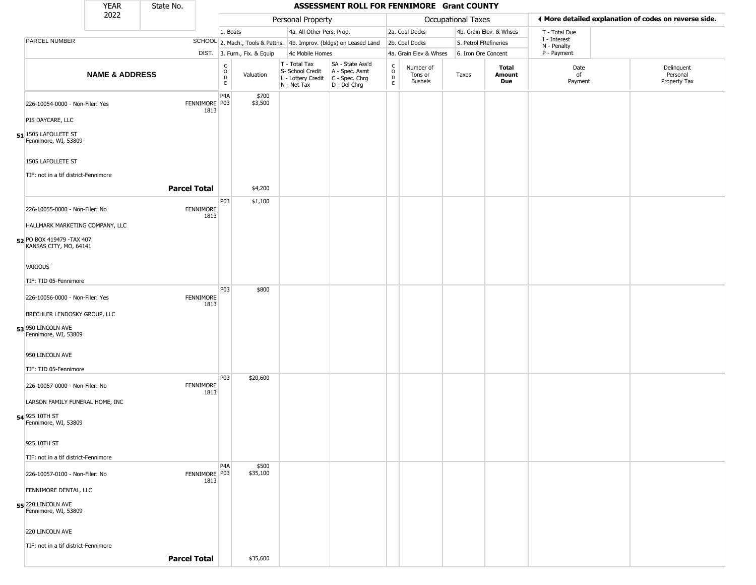|                                                                           | <b>YEAR</b>               | State No. |                          |                                                 |                              |                                                                        | ASSESSMENT ROLL FOR FENNIMORE Grant COUNTY                           |                                                |                                 |                    |                               |                             |                                                       |
|---------------------------------------------------------------------------|---------------------------|-----------|--------------------------|-------------------------------------------------|------------------------------|------------------------------------------------------------------------|----------------------------------------------------------------------|------------------------------------------------|---------------------------------|--------------------|-------------------------------|-----------------------------|-------------------------------------------------------|
|                                                                           | 2022                      |           |                          |                                                 |                              | Personal Property                                                      |                                                                      |                                                |                                 | Occupational Taxes |                               |                             | I More detailed explanation of codes on reverse side. |
|                                                                           |                           |           |                          | 1. Boats                                        |                              | 4a. All Other Pers. Prop.                                              |                                                                      |                                                | 2a. Coal Docks                  |                    | 4b. Grain Elev. & Whses       | T - Total Due               |                                                       |
| <b>PARCEL NUMBER</b>                                                      |                           |           |                          |                                                 |                              |                                                                        | SCHOOL 2. Mach., Tools & Pattns. 4b. Improv. (bldgs) on Leased Land  |                                                | 2b. Coal Docks                  |                    | 5. Petrol FRefineries         | I - Interest<br>N - Penalty |                                                       |
|                                                                           |                           |           |                          |                                                 | DIST. 3. Furn., Fix. & Equip | 4c Mobile Homes                                                        |                                                                      |                                                | 4a. Grain Elev & Whses          |                    | 6. Iron Ore Concent           | P - Payment                 |                                                       |
|                                                                           | <b>NAME &amp; ADDRESS</b> |           |                          | $\mathsf{C}$<br>$\mathsf O$<br>$\mathsf D$<br>E | Valuation                    | T - Total Tax<br>S- School Credit<br>L - Lottery Credit<br>N - Net Tax | SA - State Ass'd<br>A - Spec. Asmt<br>C - Spec. Chrg<br>D - Del Chrg | $\begin{matrix} 0 \\ 0 \\ D \end{matrix}$<br>E | Number of<br>Tons or<br>Bushels | Taxes              | Total<br><b>Amount</b><br>Due | Date<br>of<br>Payment       | Delinquent<br>Personal<br>Property Tax                |
| 226-10054-0000 - Non-Filer: Yes<br>PJS DAYCARE, LLC                       |                           |           | FENNIMORE P03<br>1813    | P <sub>4</sub> A                                | \$700<br>\$3,500             |                                                                        |                                                                      |                                                |                                 |                    |                               |                             |                                                       |
|                                                                           |                           |           |                          |                                                 |                              |                                                                        |                                                                      |                                                |                                 |                    |                               |                             |                                                       |
| 51 1505 LAFOLLETE ST<br>Fennimore, WI, 53809                              |                           |           |                          |                                                 |                              |                                                                        |                                                                      |                                                |                                 |                    |                               |                             |                                                       |
| 1505 LAFOLLETE ST<br>TIF: not in a tif district-Fennimore                 |                           |           |                          |                                                 |                              |                                                                        |                                                                      |                                                |                                 |                    |                               |                             |                                                       |
|                                                                           |                           |           | <b>Parcel Total</b>      |                                                 | \$4,200                      |                                                                        |                                                                      |                                                |                                 |                    |                               |                             |                                                       |
| 226-10055-0000 - Non-Filer: No                                            |                           |           | <b>FENNIMORE</b><br>1813 | P03                                             | \$1,100                      |                                                                        |                                                                      |                                                |                                 |                    |                               |                             |                                                       |
| HALLMARK MARKETING COMPANY, LLC                                           |                           |           |                          |                                                 |                              |                                                                        |                                                                      |                                                |                                 |                    |                               |                             |                                                       |
| 52 PO BOX 419479 - TAX 407<br>KANSAS CITY, MO, 64141                      |                           |           |                          |                                                 |                              |                                                                        |                                                                      |                                                |                                 |                    |                               |                             |                                                       |
| <b>VARIOUS</b>                                                            |                           |           |                          |                                                 |                              |                                                                        |                                                                      |                                                |                                 |                    |                               |                             |                                                       |
| TIF: TID 05-Fennimore                                                     |                           |           |                          |                                                 |                              |                                                                        |                                                                      |                                                |                                 |                    |                               |                             |                                                       |
| 226-10056-0000 - Non-Filer: Yes                                           |                           |           | <b>FENNIMORE</b><br>1813 | P03                                             | \$800                        |                                                                        |                                                                      |                                                |                                 |                    |                               |                             |                                                       |
| BRECHLER LENDOSKY GROUP, LLC                                              |                           |           |                          |                                                 |                              |                                                                        |                                                                      |                                                |                                 |                    |                               |                             |                                                       |
| 53 950 LINCOLN AVE<br>Fennimore, WI, 53809                                |                           |           |                          |                                                 |                              |                                                                        |                                                                      |                                                |                                 |                    |                               |                             |                                                       |
| 950 LINCOLN AVE                                                           |                           |           |                          |                                                 |                              |                                                                        |                                                                      |                                                |                                 |                    |                               |                             |                                                       |
| TIF: TID 05-Fennimore                                                     |                           |           |                          | <b>P03</b>                                      | \$20,600                     |                                                                        |                                                                      |                                                |                                 |                    |                               |                             |                                                       |
| 226-10057-0000 - Non-Filer: No                                            |                           |           | FENNIMORE<br>1813        |                                                 |                              |                                                                        |                                                                      |                                                |                                 |                    |                               |                             |                                                       |
| LARSON FAMILY FUNERAL HOME, INC<br>54 925 10TH ST<br>Fennimore, WI, 53809 |                           |           |                          |                                                 |                              |                                                                        |                                                                      |                                                |                                 |                    |                               |                             |                                                       |
| 925 10TH ST                                                               |                           |           |                          |                                                 |                              |                                                                        |                                                                      |                                                |                                 |                    |                               |                             |                                                       |
| TIF: not in a tif district-Fennimore                                      |                           |           |                          |                                                 |                              |                                                                        |                                                                      |                                                |                                 |                    |                               |                             |                                                       |
| 226-10057-0100 - Non-Filer: No                                            |                           |           | FENNIMORE P03            | P <sub>4</sub> A                                | \$500<br>\$35,100            |                                                                        |                                                                      |                                                |                                 |                    |                               |                             |                                                       |
| FENNIMORE DENTAL, LLC                                                     |                           |           | 1813                     |                                                 |                              |                                                                        |                                                                      |                                                |                                 |                    |                               |                             |                                                       |
| <b>55</b> 220 LINCOLN AVE<br>Fennimore, WI, 53809                         |                           |           |                          |                                                 |                              |                                                                        |                                                                      |                                                |                                 |                    |                               |                             |                                                       |
| 220 LINCOLN AVE                                                           |                           |           |                          |                                                 |                              |                                                                        |                                                                      |                                                |                                 |                    |                               |                             |                                                       |
| TIF: not in a tif district-Fennimore                                      |                           |           | <b>Parcel Total</b>      |                                                 | \$35,600                     |                                                                        |                                                                      |                                                |                                 |                    |                               |                             |                                                       |
|                                                                           |                           |           |                          |                                                 |                              |                                                                        |                                                                      |                                                |                                 |                    |                               |                             |                                                       |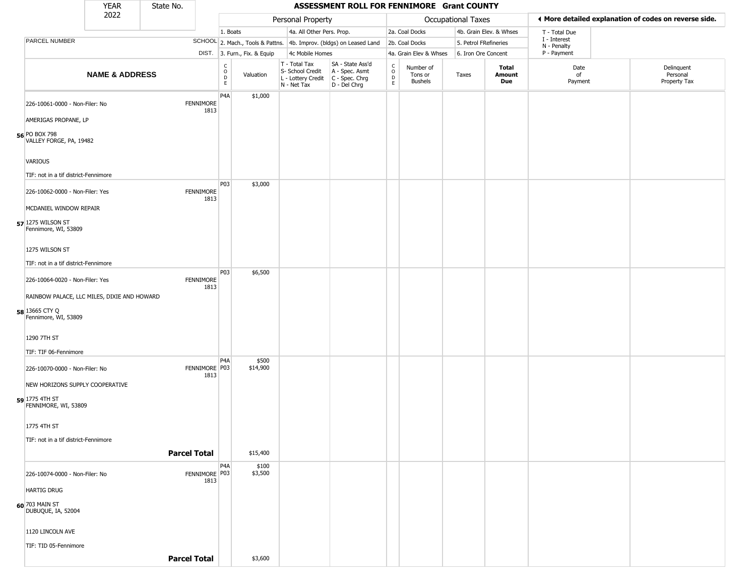|                                             | <b>YEAR</b>               | State No. |                       |                                        |                              |                                                                                       | ASSESSMENT ROLL FOR FENNIMORE Grant COUNTY                          |                                                  |                                        |                       |                         |                             |                                                       |
|---------------------------------------------|---------------------------|-----------|-----------------------|----------------------------------------|------------------------------|---------------------------------------------------------------------------------------|---------------------------------------------------------------------|--------------------------------------------------|----------------------------------------|-----------------------|-------------------------|-----------------------------|-------------------------------------------------------|
|                                             | 2022                      |           |                       |                                        |                              | Personal Property                                                                     |                                                                     |                                                  |                                        | Occupational Taxes    |                         |                             | ♦ More detailed explanation of codes on reverse side. |
|                                             |                           |           |                       | 1. Boats                               |                              | 4a. All Other Pers. Prop.                                                             |                                                                     |                                                  | 2a. Coal Docks                         |                       | 4b. Grain Elev. & Whses | T - Total Due               |                                                       |
| PARCEL NUMBER                               |                           |           |                       |                                        |                              |                                                                                       | SCHOOL 2. Mach., Tools & Pattns. 4b. Improv. (bldgs) on Leased Land |                                                  | 2b. Coal Docks                         | 5. Petrol FRefineries |                         | I - Interest<br>N - Penalty |                                                       |
|                                             |                           |           |                       |                                        | DIST. 3. Furn., Fix. & Equip | 4c Mobile Homes                                                                       |                                                                     |                                                  | 4a. Grain Elev & Whses                 | 6. Iron Ore Concent   |                         | P - Payment                 |                                                       |
|                                             | <b>NAME &amp; ADDRESS</b> |           |                       | $_{\rm o}^{\rm c}$<br>$\mathsf D$<br>E | Valuation                    | T - Total Tax<br>S- School Credit<br>L - Lottery Credit C - Spec. Chrg<br>N - Net Tax | SA - State Ass'd<br>A - Spec. Asmt<br>D - Del Chrg                  | $_{\rm o}^{\rm c}$<br>$\mathsf D$<br>$\mathsf E$ | Number of<br>Tons or<br><b>Bushels</b> | Taxes                 | Total<br>Amount<br>Due  | Date<br>of<br>Payment       | Delinquent<br>Personal<br>Property Tax                |
| 226-10061-0000 - Non-Filer: No              |                           |           | FENNIMORE<br>1813     | P4A                                    | \$1,000                      |                                                                                       |                                                                     |                                                  |                                        |                       |                         |                             |                                                       |
| AMERIGAS PROPANE, LP                        |                           |           |                       |                                        |                              |                                                                                       |                                                                     |                                                  |                                        |                       |                         |                             |                                                       |
| 56 PO BOX 798<br>VALLEY FORGE, PA, 19482    |                           |           |                       |                                        |                              |                                                                                       |                                                                     |                                                  |                                        |                       |                         |                             |                                                       |
| VARIOUS                                     |                           |           |                       |                                        |                              |                                                                                       |                                                                     |                                                  |                                        |                       |                         |                             |                                                       |
| TIF: not in a tif district-Fennimore        |                           |           |                       |                                        |                              |                                                                                       |                                                                     |                                                  |                                        |                       |                         |                             |                                                       |
| 226-10062-0000 - Non-Filer: Yes             |                           |           | <b>FENNIMORE</b>      | P03                                    | \$3,000                      |                                                                                       |                                                                     |                                                  |                                        |                       |                         |                             |                                                       |
| MCDANIEL WINDOW REPAIR                      |                           |           | 1813                  |                                        |                              |                                                                                       |                                                                     |                                                  |                                        |                       |                         |                             |                                                       |
| 57 1275 WILSON ST<br>Fennimore, WI, 53809   |                           |           |                       |                                        |                              |                                                                                       |                                                                     |                                                  |                                        |                       |                         |                             |                                                       |
| 1275 WILSON ST                              |                           |           |                       |                                        |                              |                                                                                       |                                                                     |                                                  |                                        |                       |                         |                             |                                                       |
| TIF: not in a tif district-Fennimore        |                           |           |                       |                                        |                              |                                                                                       |                                                                     |                                                  |                                        |                       |                         |                             |                                                       |
| 226-10064-0020 - Non-Filer: Yes             |                           |           | <b>FENNIMORE</b>      | P03                                    | \$6,500                      |                                                                                       |                                                                     |                                                  |                                        |                       |                         |                             |                                                       |
| RAINBOW PALACE, LLC MILES, DIXIE AND HOWARD |                           |           | 1813                  |                                        |                              |                                                                                       |                                                                     |                                                  |                                        |                       |                         |                             |                                                       |
| 58 13665 CTY Q                              |                           |           |                       |                                        |                              |                                                                                       |                                                                     |                                                  |                                        |                       |                         |                             |                                                       |
| Fennimore, WI, 53809                        |                           |           |                       |                                        |                              |                                                                                       |                                                                     |                                                  |                                        |                       |                         |                             |                                                       |
| 1290 7TH ST                                 |                           |           |                       |                                        |                              |                                                                                       |                                                                     |                                                  |                                        |                       |                         |                             |                                                       |
| TIF: TIF 06-Fennimore                       |                           |           |                       |                                        |                              |                                                                                       |                                                                     |                                                  |                                        |                       |                         |                             |                                                       |
| 226-10070-0000 - Non-Filer: No              |                           |           | FENNIMORE P03<br>1813 | P4A                                    | \$500<br>\$14,900            |                                                                                       |                                                                     |                                                  |                                        |                       |                         |                             |                                                       |
| NEW HORIZONS SUPPLY COOPERATIVE             |                           |           |                       |                                        |                              |                                                                                       |                                                                     |                                                  |                                        |                       |                         |                             |                                                       |
| 59 1775 4TH ST<br>FENNIMORE, WI, 53809      |                           |           |                       |                                        |                              |                                                                                       |                                                                     |                                                  |                                        |                       |                         |                             |                                                       |
| 1775 4TH ST                                 |                           |           |                       |                                        |                              |                                                                                       |                                                                     |                                                  |                                        |                       |                         |                             |                                                       |
| TIF: not in a tif district-Fennimore        |                           |           |                       |                                        |                              |                                                                                       |                                                                     |                                                  |                                        |                       |                         |                             |                                                       |
|                                             |                           |           | <b>Parcel Total</b>   |                                        | \$15,400                     |                                                                                       |                                                                     |                                                  |                                        |                       |                         |                             |                                                       |
| 226-10074-0000 - Non-Filer: No              |                           |           | FENNIMORE P03         | P4A                                    | \$100<br>\$3,500             |                                                                                       |                                                                     |                                                  |                                        |                       |                         |                             |                                                       |
| <b>HARTIG DRUG</b>                          |                           |           | 1813                  |                                        |                              |                                                                                       |                                                                     |                                                  |                                        |                       |                         |                             |                                                       |
| <b>60</b> 703 MAIN ST<br>DUBUQUE, IA, 52004 |                           |           |                       |                                        |                              |                                                                                       |                                                                     |                                                  |                                        |                       |                         |                             |                                                       |
| 1120 LINCOLN AVE                            |                           |           |                       |                                        |                              |                                                                                       |                                                                     |                                                  |                                        |                       |                         |                             |                                                       |
| TIF: TID 05-Fennimore                       |                           |           |                       |                                        |                              |                                                                                       |                                                                     |                                                  |                                        |                       |                         |                             |                                                       |
|                                             |                           |           | <b>Parcel Total</b>   |                                        | \$3,600                      |                                                                                       |                                                                     |                                                  |                                        |                       |                         |                             |                                                       |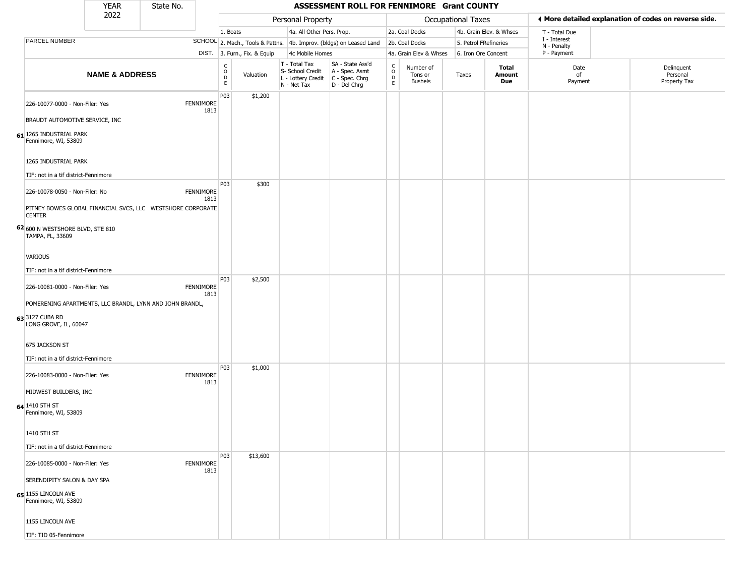|                                                                                   | <b>YEAR</b>               | State No. |                   |                                                 |                              |                                                  |                 | ASSESSMENT ROLL FOR FENNIMORE Grant COUNTY                                                |                          |                                 |                       |                         |                             |                                                       |
|-----------------------------------------------------------------------------------|---------------------------|-----------|-------------------|-------------------------------------------------|------------------------------|--------------------------------------------------|-----------------|-------------------------------------------------------------------------------------------|--------------------------|---------------------------------|-----------------------|-------------------------|-----------------------------|-------------------------------------------------------|
|                                                                                   | 2022                      |           |                   |                                                 |                              | Personal Property                                |                 |                                                                                           |                          |                                 | Occupational Taxes    |                         |                             | ♦ More detailed explanation of codes on reverse side. |
|                                                                                   |                           |           |                   | 1. Boats                                        |                              |                                                  |                 | 4a. All Other Pers. Prop.                                                                 |                          | 2a. Coal Docks                  |                       | 4b. Grain Elev. & Whses | T - Total Due               |                                                       |
| PARCEL NUMBER                                                                     |                           |           |                   |                                                 |                              |                                                  |                 | SCHOOL 2. Mach., Tools & Pattns. 4b. Improv. (bldgs) on Leased Land                       |                          | 2b. Coal Docks                  | 5. Petrol FRefineries |                         | I - Interest<br>N - Penalty |                                                       |
|                                                                                   |                           |           |                   |                                                 | DIST. 3. Furn., Fix. & Equip |                                                  | 4c Mobile Homes |                                                                                           |                          | 4a. Grain Elev & Whses          | 6. Iron Ore Concent   |                         | P - Payment                 |                                                       |
|                                                                                   | <b>NAME &amp; ADDRESS</b> |           |                   | $\begin{array}{c} C \\ O \\ D \\ E \end{array}$ | Valuation                    | T - Total Tax<br>S- School Credit<br>N - Net Tax |                 | SA - State Ass'd<br>A - Spec. Asmt<br>L - Lottery Credit   C - Spec. Chrg<br>D - Del Chrg | $\int_{0}^{c}$<br>D<br>E | Number of<br>Tons or<br>Bushels | Taxes                 | Total<br>Amount<br>Due  | Date<br>of<br>Payment       | Delinquent<br>Personal<br>Property Tax                |
| 226-10077-0000 - Non-Filer: Yes                                                   |                           |           | FENNIMORE<br>1813 | P03                                             | \$1,200                      |                                                  |                 |                                                                                           |                          |                                 |                       |                         |                             |                                                       |
| BRAUDT AUTOMOTIVE SERVICE, INC<br>61 1265 INDUSTRIAL PARK<br>Fennimore, WI, 53809 |                           |           |                   |                                                 |                              |                                                  |                 |                                                                                           |                          |                                 |                       |                         |                             |                                                       |
| 1265 INDUSTRIAL PARK                                                              |                           |           |                   |                                                 |                              |                                                  |                 |                                                                                           |                          |                                 |                       |                         |                             |                                                       |
| TIF: not in a tif district-Fennimore                                              |                           |           |                   |                                                 |                              |                                                  |                 |                                                                                           |                          |                                 |                       |                         |                             |                                                       |
| 226-10078-0050 - Non-Filer: No                                                    |                           |           | FENNIMORE<br>1813 | P03                                             | \$300                        |                                                  |                 |                                                                                           |                          |                                 |                       |                         |                             |                                                       |
| PITNEY BOWES GLOBAL FINANCIAL SVCS, LLC WESTSHORE CORPORATE<br><b>CENTER</b>      |                           |           |                   |                                                 |                              |                                                  |                 |                                                                                           |                          |                                 |                       |                         |                             |                                                       |
| 62 600 N WESTSHORE BLVD, STE 810<br>TAMPA, FL, 33609                              |                           |           |                   |                                                 |                              |                                                  |                 |                                                                                           |                          |                                 |                       |                         |                             |                                                       |
| VARIOUS                                                                           |                           |           |                   |                                                 |                              |                                                  |                 |                                                                                           |                          |                                 |                       |                         |                             |                                                       |
| TIF: not in a tif district-Fennimore                                              |                           |           |                   | P03                                             |                              |                                                  |                 |                                                                                           |                          |                                 |                       |                         |                             |                                                       |
| 226-10081-0000 - Non-Filer: Yes                                                   |                           |           | FENNIMORE<br>1813 |                                                 | \$2,500                      |                                                  |                 |                                                                                           |                          |                                 |                       |                         |                             |                                                       |
| POMERENING APARTMENTS, LLC BRANDL, LYNN AND JOHN BRANDL,                          |                           |           |                   |                                                 |                              |                                                  |                 |                                                                                           |                          |                                 |                       |                         |                             |                                                       |
| 633127 CUBA RD<br>LONG GROVE, IL, 60047                                           |                           |           |                   |                                                 |                              |                                                  |                 |                                                                                           |                          |                                 |                       |                         |                             |                                                       |
| 675 JACKSON ST                                                                    |                           |           |                   |                                                 |                              |                                                  |                 |                                                                                           |                          |                                 |                       |                         |                             |                                                       |
| TIF: not in a tif district-Fennimore<br>226-10083-0000 - Non-Filer: Yes           |                           |           | FENNIMORE         | P03                                             | \$1,000                      |                                                  |                 |                                                                                           |                          |                                 |                       |                         |                             |                                                       |
| MIDWEST BUILDERS, INC                                                             |                           |           | 1813              |                                                 |                              |                                                  |                 |                                                                                           |                          |                                 |                       |                         |                             |                                                       |
| 64 1410 5TH ST<br>Fennimore, WI, 53809                                            |                           |           |                   |                                                 |                              |                                                  |                 |                                                                                           |                          |                                 |                       |                         |                             |                                                       |
| 1410 5TH ST                                                                       |                           |           |                   |                                                 |                              |                                                  |                 |                                                                                           |                          |                                 |                       |                         |                             |                                                       |
| TIF: not in a tif district-Fennimore                                              |                           |           |                   |                                                 |                              |                                                  |                 |                                                                                           |                          |                                 |                       |                         |                             |                                                       |
| 226-10085-0000 - Non-Filer: Yes                                                   |                           |           | FENNIMORE<br>1813 | P03                                             | \$13,600                     |                                                  |                 |                                                                                           |                          |                                 |                       |                         |                             |                                                       |
| SERENDIPITY SALON & DAY SPA                                                       |                           |           |                   |                                                 |                              |                                                  |                 |                                                                                           |                          |                                 |                       |                         |                             |                                                       |
| $65$ <sup>1155</sup> LINCOLN AVE<br>Fennimore, WI, 53809                          |                           |           |                   |                                                 |                              |                                                  |                 |                                                                                           |                          |                                 |                       |                         |                             |                                                       |
| 1155 LINCOLN AVE                                                                  |                           |           |                   |                                                 |                              |                                                  |                 |                                                                                           |                          |                                 |                       |                         |                             |                                                       |
| TIF: TID 05-Fennimore                                                             |                           |           |                   |                                                 |                              |                                                  |                 |                                                                                           |                          |                                 |                       |                         |                             |                                                       |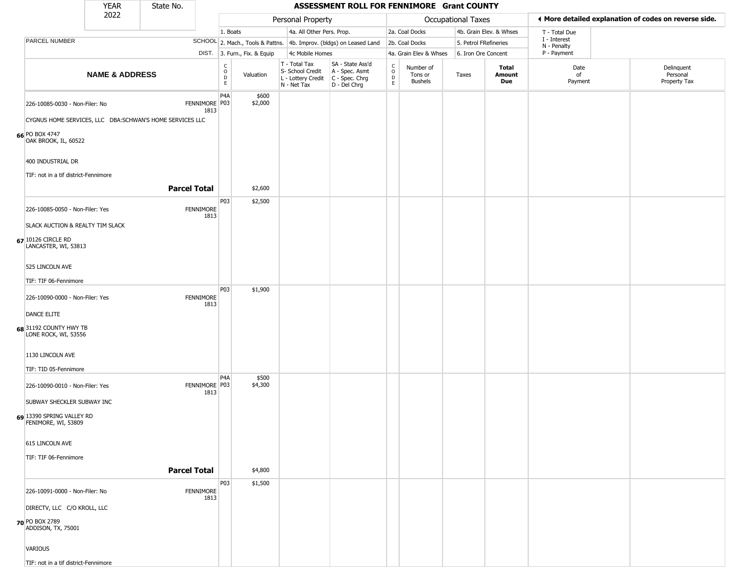|                                                                                | <b>YEAR</b>               | State No.                                                |                                   |                              |                                                  | ASSESSMENT ROLL FOR FENNIMORE Grant COUNTY                                                |                                                 |                                        |                       |                         |                             |                                                       |
|--------------------------------------------------------------------------------|---------------------------|----------------------------------------------------------|-----------------------------------|------------------------------|--------------------------------------------------|-------------------------------------------------------------------------------------------|-------------------------------------------------|----------------------------------------|-----------------------|-------------------------|-----------------------------|-------------------------------------------------------|
|                                                                                | 2022                      |                                                          |                                   |                              | Personal Property                                |                                                                                           |                                                 |                                        | Occupational Taxes    |                         |                             | ♦ More detailed explanation of codes on reverse side. |
|                                                                                |                           |                                                          | 1. Boats                          |                              | 4a. All Other Pers. Prop.                        |                                                                                           |                                                 | 2a. Coal Docks                         |                       | 4b. Grain Elev. & Whses | T - Total Due               |                                                       |
| PARCEL NUMBER                                                                  |                           |                                                          |                                   |                              |                                                  | SCHOOL 2. Mach., Tools & Pattns. 4b. Improv. (bldgs) on Leased Land                       |                                                 | 2b. Coal Docks                         | 5. Petrol FRefineries |                         | I - Interest<br>N - Penalty |                                                       |
|                                                                                |                           |                                                          |                                   | DIST. 3. Furn., Fix. & Equip | 4c Mobile Homes                                  |                                                                                           |                                                 | 4a. Grain Elev & Whses                 | 6. Iron Ore Concent   |                         | P - Payment                 |                                                       |
|                                                                                | <b>NAME &amp; ADDRESS</b> |                                                          | $\frac{C}{O}$<br>D<br>$\mathsf E$ | Valuation                    | T - Total Tax<br>S- School Credit<br>N - Net Tax | SA - State Ass'd<br>A - Spec. Asmt<br>L - Lottery Credit   C - Spec. Chrg<br>D - Del Chrg | $\begin{array}{c} C \\ O \\ D \\ E \end{array}$ | Number of<br>Tons or<br><b>Bushels</b> | Taxes                 | Total<br>Amount<br>Due  | Date<br>of<br>Payment       | Delinquent<br>Personal<br>Property Tax                |
| 226-10085-0030 - Non-Filer: No                                                 |                           | FENNIMORE P03<br>1813                                    | P <sub>4</sub> A                  | \$600<br>\$2,000             |                                                  |                                                                                           |                                                 |                                        |                       |                         |                             |                                                       |
|                                                                                |                           | CYGNUS HOME SERVICES, LLC DBA:SCHWAN'S HOME SERVICES LLC |                                   |                              |                                                  |                                                                                           |                                                 |                                        |                       |                         |                             |                                                       |
| 66 PO BOX 4747<br>OAK BROOK, IL, 60522                                         |                           |                                                          |                                   |                              |                                                  |                                                                                           |                                                 |                                        |                       |                         |                             |                                                       |
| 400 INDUSTRIAL DR                                                              |                           |                                                          |                                   |                              |                                                  |                                                                                           |                                                 |                                        |                       |                         |                             |                                                       |
| TIF: not in a tif district-Fennimore                                           |                           | <b>Parcel Total</b>                                      |                                   | \$2,600                      |                                                  |                                                                                           |                                                 |                                        |                       |                         |                             |                                                       |
|                                                                                |                           |                                                          | P03                               | \$2,500                      |                                                  |                                                                                           |                                                 |                                        |                       |                         |                             |                                                       |
| 226-10085-0050 - Non-Filer: Yes                                                |                           | <b>FENNIMORE</b><br>1813                                 |                                   |                              |                                                  |                                                                                           |                                                 |                                        |                       |                         |                             |                                                       |
| SLACK AUCTION & REALTY TIM SLACK<br>67 10126 CIRCLE RD<br>LANCASTER, WI, 53813 |                           |                                                          |                                   |                              |                                                  |                                                                                           |                                                 |                                        |                       |                         |                             |                                                       |
| 525 LINCOLN AVE                                                                |                           |                                                          |                                   |                              |                                                  |                                                                                           |                                                 |                                        |                       |                         |                             |                                                       |
| TIF: TIF 06-Fennimore                                                          |                           |                                                          |                                   |                              |                                                  |                                                                                           |                                                 |                                        |                       |                         |                             |                                                       |
| 226-10090-0000 - Non-Filer: Yes                                                |                           | <b>FENNIMORE</b><br>1813                                 | P03                               | \$1,900                      |                                                  |                                                                                           |                                                 |                                        |                       |                         |                             |                                                       |
| DANCE ELITE                                                                    |                           |                                                          |                                   |                              |                                                  |                                                                                           |                                                 |                                        |                       |                         |                             |                                                       |
| 68 31192 COUNTY HWY TB<br>LONE ROCK, WI, 53556                                 |                           |                                                          |                                   |                              |                                                  |                                                                                           |                                                 |                                        |                       |                         |                             |                                                       |
| 1130 LINCOLN AVE                                                               |                           |                                                          |                                   |                              |                                                  |                                                                                           |                                                 |                                        |                       |                         |                             |                                                       |
| TIF: TID 05-Fennimore                                                          |                           |                                                          |                                   |                              |                                                  |                                                                                           |                                                 |                                        |                       |                         |                             |                                                       |
| 226-10090-0010 - Non-Filer: Yes                                                |                           | FENNIMORE P03<br>1813                                    | P4A                               | \$500<br>\$4,300             |                                                  |                                                                                           |                                                 |                                        |                       |                         |                             |                                                       |
| SUBWAY SHECKLER SUBWAY INC                                                     |                           |                                                          |                                   |                              |                                                  |                                                                                           |                                                 |                                        |                       |                         |                             |                                                       |
| 69 13390 SPRING VALLEY RD<br>FENIMORE, WI, 53809                               |                           |                                                          |                                   |                              |                                                  |                                                                                           |                                                 |                                        |                       |                         |                             |                                                       |
| 615 LINCOLN AVE                                                                |                           |                                                          |                                   |                              |                                                  |                                                                                           |                                                 |                                        |                       |                         |                             |                                                       |
| TIF: TIF 06-Fennimore                                                          |                           |                                                          |                                   |                              |                                                  |                                                                                           |                                                 |                                        |                       |                         |                             |                                                       |
|                                                                                |                           | <b>Parcel Total</b>                                      |                                   | \$4,800                      |                                                  |                                                                                           |                                                 |                                        |                       |                         |                             |                                                       |
| 226-10091-0000 - Non-Filer: No                                                 |                           | <b>FENNIMORE</b><br>1813                                 | P03                               | \$1,500                      |                                                  |                                                                                           |                                                 |                                        |                       |                         |                             |                                                       |
| DIRECTV, LLC C/O KROLL, LLC                                                    |                           |                                                          |                                   |                              |                                                  |                                                                                           |                                                 |                                        |                       |                         |                             |                                                       |
| 70 PO BOX 2789<br>ADDISON, TX, 75001                                           |                           |                                                          |                                   |                              |                                                  |                                                                                           |                                                 |                                        |                       |                         |                             |                                                       |
| VARIOUS                                                                        |                           |                                                          |                                   |                              |                                                  |                                                                                           |                                                 |                                        |                       |                         |                             |                                                       |
| TIF: not in a tif district-Fennimore                                           |                           |                                                          |                                   |                              |                                                  |                                                                                           |                                                 |                                        |                       |                         |                             |                                                       |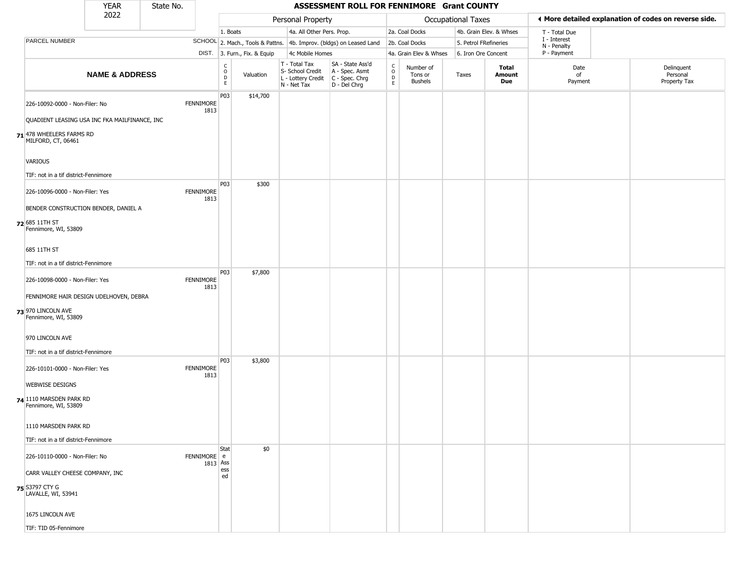|                                                                                                 | <b>YEAR</b>               | State No. |                          |                         |                              |                                                                        | ASSESSMENT ROLL FOR FENNIMORE Grant COUNTY                             |                                   |                                        |                       |                         |                             |                                                       |
|-------------------------------------------------------------------------------------------------|---------------------------|-----------|--------------------------|-------------------------|------------------------------|------------------------------------------------------------------------|------------------------------------------------------------------------|-----------------------------------|----------------------------------------|-----------------------|-------------------------|-----------------------------|-------------------------------------------------------|
|                                                                                                 | 2022                      |           |                          |                         |                              | Personal Property                                                      |                                                                        |                                   |                                        | Occupational Taxes    |                         |                             | ♦ More detailed explanation of codes on reverse side. |
|                                                                                                 |                           |           |                          | 1. Boats                |                              | 4a. All Other Pers. Prop.                                              |                                                                        |                                   | 2a. Coal Docks                         |                       | 4b. Grain Elev. & Whses | T - Total Due               |                                                       |
| PARCEL NUMBER                                                                                   |                           |           |                          |                         |                              |                                                                        | SCHOOL 2. Mach., Tools & Pattns. 4b. Improv. (bldgs) on Leased Land    |                                   | 2b. Coal Docks                         | 5. Petrol FRefineries |                         | I - Interest<br>N - Penalty |                                                       |
|                                                                                                 |                           |           |                          |                         | DIST. 3. Furn., Fix. & Equip | 4c Mobile Homes                                                        |                                                                        |                                   | 4a. Grain Elev & Whses                 | 6. Iron Ore Concent   |                         | P - Payment                 |                                                       |
|                                                                                                 | <b>NAME &amp; ADDRESS</b> |           |                          | C<br>$\circ$<br>D<br>E. | Valuation                    | T - Total Tax<br>S- School Credit<br>L - Lottery Credit<br>N - Net Tax | SA - State Ass'd<br>A - Spec. Asmt<br>$C - Spec. Chrg$<br>D - Del Chrg | $\mathsf{C}$<br>$\circ$<br>D<br>E | Number of<br>Tons or<br><b>Bushels</b> | Taxes                 | Total<br>Amount<br>Due  | Date<br>of<br>Payment       | Delinquent<br>Personal<br>Property Tax                |
| 226-10092-0000 - Non-Filer: No                                                                  |                           |           | <b>FENNIMORE</b><br>1813 | P03                     | \$14,700                     |                                                                        |                                                                        |                                   |                                        |                       |                         |                             |                                                       |
| QUADIENT LEASING USA INC FKA MAILFINANCE, INC<br>71 478 WHEELERS FARMS RD<br>MILFORD, CT, 06461 |                           |           |                          |                         |                              |                                                                        |                                                                        |                                   |                                        |                       |                         |                             |                                                       |
| <b>VARIOUS</b>                                                                                  |                           |           |                          |                         |                              |                                                                        |                                                                        |                                   |                                        |                       |                         |                             |                                                       |
| TIF: not in a tif district-Fennimore                                                            |                           |           |                          | P03                     | \$300                        |                                                                        |                                                                        |                                   |                                        |                       |                         |                             |                                                       |
| 226-10096-0000 - Non-Filer: Yes                                                                 |                           |           | <b>FENNIMORE</b><br>1813 |                         |                              |                                                                        |                                                                        |                                   |                                        |                       |                         |                             |                                                       |
| BENDER CONSTRUCTION BENDER, DANIEL A                                                            |                           |           |                          |                         |                              |                                                                        |                                                                        |                                   |                                        |                       |                         |                             |                                                       |
| 72 685 11TH ST<br>Fennimore, WI, 53809                                                          |                           |           |                          |                         |                              |                                                                        |                                                                        |                                   |                                        |                       |                         |                             |                                                       |
| 685 11TH ST                                                                                     |                           |           |                          |                         |                              |                                                                        |                                                                        |                                   |                                        |                       |                         |                             |                                                       |
| TIF: not in a tif district-Fennimore                                                            |                           |           |                          |                         |                              |                                                                        |                                                                        |                                   |                                        |                       |                         |                             |                                                       |
| 226-10098-0000 - Non-Filer: Yes                                                                 |                           |           | <b>FENNIMORE</b><br>1813 | P03                     | \$7,800                      |                                                                        |                                                                        |                                   |                                        |                       |                         |                             |                                                       |
| FENNIMORE HAIR DESIGN UDELHOVEN, DEBRA<br>73 970 LINCOLN AVE<br>Fennimore, WI, 53809            |                           |           |                          |                         |                              |                                                                        |                                                                        |                                   |                                        |                       |                         |                             |                                                       |
| 970 LINCOLN AVE                                                                                 |                           |           |                          |                         |                              |                                                                        |                                                                        |                                   |                                        |                       |                         |                             |                                                       |
| TIF: not in a tif district-Fennimore                                                            |                           |           |                          | P03                     | \$3,800                      |                                                                        |                                                                        |                                   |                                        |                       |                         |                             |                                                       |
| 226-10101-0000 - Non-Filer: Yes                                                                 |                           |           | <b>FENNIMORE</b><br>1813 |                         |                              |                                                                        |                                                                        |                                   |                                        |                       |                         |                             |                                                       |
| <b>WEBWISE DESIGNS</b>                                                                          |                           |           |                          |                         |                              |                                                                        |                                                                        |                                   |                                        |                       |                         |                             |                                                       |
| 74 1110 MARSDEN PARK RD<br>Fennimore, WI, 53809                                                 |                           |           |                          |                         |                              |                                                                        |                                                                        |                                   |                                        |                       |                         |                             |                                                       |
| 1110 MARSDEN PARK RD                                                                            |                           |           |                          |                         |                              |                                                                        |                                                                        |                                   |                                        |                       |                         |                             |                                                       |
| TIF: not in a tif district-Fennimore                                                            |                           |           |                          |                         |                              |                                                                        |                                                                        |                                   |                                        |                       |                         |                             |                                                       |
| 226-10110-0000 - Non-Filer: No                                                                  |                           |           | FENNIMORE e<br>1813 Ass  | Stat                    | \$0                          |                                                                        |                                                                        |                                   |                                        |                       |                         |                             |                                                       |
| CARR VALLEY CHEESE COMPANY, INC                                                                 |                           |           |                          | ess<br>ed               |                              |                                                                        |                                                                        |                                   |                                        |                       |                         |                             |                                                       |
| <b>75</b> S3797 CTY G<br>LAVALLE, WI, 53941                                                     |                           |           |                          |                         |                              |                                                                        |                                                                        |                                   |                                        |                       |                         |                             |                                                       |
| 1675 LINCOLN AVE                                                                                |                           |           |                          |                         |                              |                                                                        |                                                                        |                                   |                                        |                       |                         |                             |                                                       |
| TIF: TID 05-Fennimore                                                                           |                           |           |                          |                         |                              |                                                                        |                                                                        |                                   |                                        |                       |                         |                             |                                                       |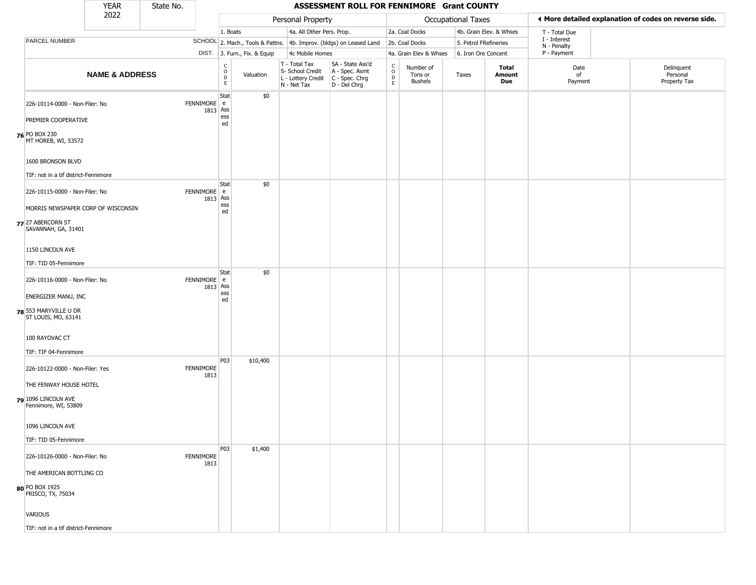|                                                                                | <b>YEAR</b>               | State No. |                         |                                  |                              |                                                                        | ASSESSMENT ROLL FOR FENNIMORE Grant COUNTY                           |                                         |                                        |       |                         |                             |                                                       |
|--------------------------------------------------------------------------------|---------------------------|-----------|-------------------------|----------------------------------|------------------------------|------------------------------------------------------------------------|----------------------------------------------------------------------|-----------------------------------------|----------------------------------------|-------|-------------------------|-----------------------------|-------------------------------------------------------|
|                                                                                | 2022                      |           |                         |                                  |                              | Personal Property                                                      |                                                                      |                                         | Occupational Taxes                     |       |                         |                             | ◀ More detailed explanation of codes on reverse side. |
|                                                                                |                           |           |                         | 1. Boats                         |                              | 4a. All Other Pers. Prop.                                              |                                                                      |                                         | 2a. Coal Docks                         |       | 4b. Grain Elev. & Whses | T - Total Due               |                                                       |
| PARCEL NUMBER                                                                  |                           |           |                         |                                  |                              |                                                                        | SCHOOL 2. Mach., Tools & Pattns. 4b. Improv. (bldgs) on Leased Land  |                                         | 2b. Coal Docks                         |       | 5. Petrol FRefineries   | I - Interest<br>N - Penalty |                                                       |
|                                                                                |                           |           |                         |                                  | DIST. 3. Furn., Fix. & Equip | 4c Mobile Homes                                                        |                                                                      |                                         | 4a. Grain Elev & Whses                 |       | 6. Iron Ore Concent     | P - Payment                 |                                                       |
|                                                                                | <b>NAME &amp; ADDRESS</b> |           |                         | C<br>$\circ$<br>D<br>$\mathsf E$ | Valuation                    | T - Total Tax<br>S- School Credit<br>L - Lottery Credit<br>N - Net Tax | SA - State Ass'd<br>A - Spec. Asmt<br>C - Spec. Chrg<br>D - Del Chrg | $\delta$<br>$\mathsf{D}$<br>$\mathsf E$ | Number of<br>Tons or<br><b>Bushels</b> | Taxes | Total<br>Amount<br>Due  | Date<br>of<br>Payment       | Delinquent<br>Personal<br>Property Tax                |
| 226-10114-0000 - Non-Filer: No<br>PREMIER COOPERATIVE                          |                           |           | FENNIMORE e<br>1813 Ass | Stat<br>ess<br>ed                | \$0                          |                                                                        |                                                                      |                                         |                                        |       |                         |                             |                                                       |
| 76 PO BOX 230<br>MT HOREB, WI, 53572                                           |                           |           |                         |                                  |                              |                                                                        |                                                                      |                                         |                                        |       |                         |                             |                                                       |
| 1600 BRONSON BLVD<br>TIF: not in a tif district-Fennimore                      |                           |           |                         |                                  |                              |                                                                        |                                                                      |                                         |                                        |       |                         |                             |                                                       |
| 226-10115-0000 - Non-Filer: No                                                 |                           |           | FENNIMORE e<br>1813 Ass | Stat                             | \$0                          |                                                                        |                                                                      |                                         |                                        |       |                         |                             |                                                       |
| MORRIS NEWSPAPER CORP OF WISCONSIN<br>77 27 ABERCORN ST<br>SAVANNAH, GA, 31401 |                           |           |                         | ess<br>ed                        |                              |                                                                        |                                                                      |                                         |                                        |       |                         |                             |                                                       |
| 1150 LINCOLN AVE<br>TIF: TID 05-Fennimore                                      |                           |           |                         |                                  |                              |                                                                        |                                                                      |                                         |                                        |       |                         |                             |                                                       |
| 226-10116-0000 - Non-Filer: No                                                 |                           |           | FENNIMORE e<br>1813 Ass | Stat<br>ess                      | \$0                          |                                                                        |                                                                      |                                         |                                        |       |                         |                             |                                                       |
| ENERGIZER MANU, INC<br>78 553 MARYVILLE U DR<br>ST LOUIS, MO, 63141            |                           |           |                         | ed                               |                              |                                                                        |                                                                      |                                         |                                        |       |                         |                             |                                                       |
| 100 RAYOVAC CT<br>TIF: TIF 04-Fennimore                                        |                           |           |                         |                                  |                              |                                                                        |                                                                      |                                         |                                        |       |                         |                             |                                                       |
| 226-10122-0000 - Non-Filer: Yes                                                |                           |           | FENNIMORE<br>1813       | P03                              | \$10,400                     |                                                                        |                                                                      |                                         |                                        |       |                         |                             |                                                       |
| THE FENWAY HOUSE HOTEL<br>79 1096 LINCOLN AVE<br>Fennimore, WI, 53809          |                           |           |                         |                                  |                              |                                                                        |                                                                      |                                         |                                        |       |                         |                             |                                                       |
| 1096 LINCOLN AVE                                                               |                           |           |                         |                                  |                              |                                                                        |                                                                      |                                         |                                        |       |                         |                             |                                                       |
| TIF: TID 05-Fennimore                                                          |                           |           |                         | P03                              | \$1,400                      |                                                                        |                                                                      |                                         |                                        |       |                         |                             |                                                       |
| 226-10126-0000 - Non-Filer: No                                                 |                           |           | FENNIMORE<br>1813       |                                  |                              |                                                                        |                                                                      |                                         |                                        |       |                         |                             |                                                       |
| THE AMERICAN BOTTLING CO<br>80 PO BOX 1925<br>FRISCO, TX, 75034                |                           |           |                         |                                  |                              |                                                                        |                                                                      |                                         |                                        |       |                         |                             |                                                       |
| VARIOUS                                                                        |                           |           |                         |                                  |                              |                                                                        |                                                                      |                                         |                                        |       |                         |                             |                                                       |
| TIF: not in a tif district-Fennimore                                           |                           |           |                         |                                  |                              |                                                                        |                                                                      |                                         |                                        |       |                         |                             |                                                       |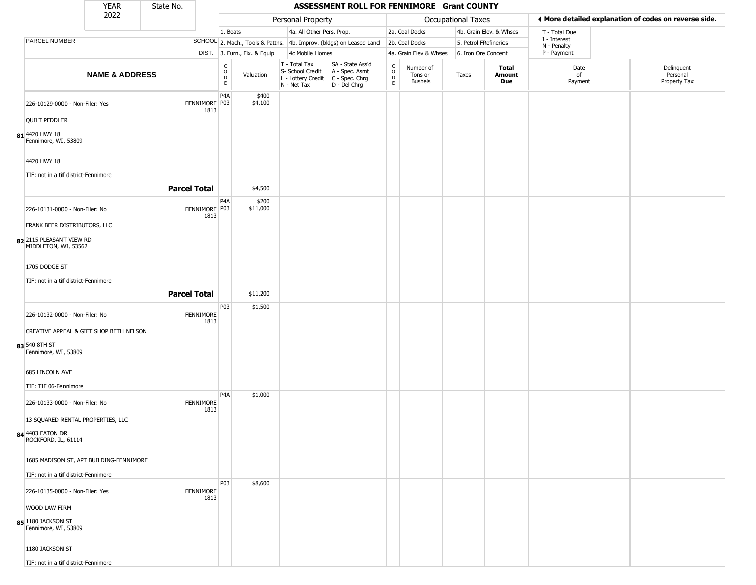|                                                  | <b>YEAR</b>               | State No.           |                                                 |                                  |                                                  | ASSESSMENT ROLL FOR FENNIMORE Grant COUNTY                                                |                                                 |                                        |                       |                         |                             |                                                       |
|--------------------------------------------------|---------------------------|---------------------|-------------------------------------------------|----------------------------------|--------------------------------------------------|-------------------------------------------------------------------------------------------|-------------------------------------------------|----------------------------------------|-----------------------|-------------------------|-----------------------------|-------------------------------------------------------|
|                                                  | 2022                      |                     |                                                 |                                  | Personal Property                                |                                                                                           |                                                 |                                        | Occupational Taxes    |                         |                             | ♦ More detailed explanation of codes on reverse side. |
|                                                  |                           |                     |                                                 | 1. Boats                         | 4a. All Other Pers. Prop.                        |                                                                                           |                                                 | 2a. Coal Docks                         |                       | 4b. Grain Elev. & Whses | T - Total Due               |                                                       |
| PARCEL NUMBER                                    |                           |                     |                                                 | SCHOOL 2. Mach., Tools & Pattns. |                                                  | 4b. Improv. (bldgs) on Leased Land                                                        |                                                 | 2b. Coal Docks                         | 5. Petrol FRefineries |                         | I - Interest<br>N - Penalty |                                                       |
|                                                  |                           |                     |                                                 | DIST. 3. Furn., Fix. & Equip     | 4c Mobile Homes                                  |                                                                                           |                                                 | 4a. Grain Elev & Whses                 | 6. Iron Ore Concent   |                         | P - Payment                 |                                                       |
|                                                  | <b>NAME &amp; ADDRESS</b> |                     | $\begin{array}{c} C \\ O \\ D \\ E \end{array}$ | Valuation                        | T - Total Tax<br>S- School Credit<br>N - Net Tax | SA - State Ass'd<br>A - Spec. Asmt<br>L - Lottery Credit   C - Spec. Chrg<br>D - Del Chrg | $_{\rm o}^{\rm c}$<br>$\mathsf{D}_{\mathsf{E}}$ | Number of<br>Tons or<br><b>Bushels</b> | Taxes                 | Total<br>Amount<br>Due  | Date<br>of<br>Payment       | Delinquent<br>Personal<br>Property Tax                |
| 226-10129-0000 - Non-Filer: Yes                  |                           | FENNIMORE P03       | P <sub>4</sub> A<br>1813                        | \$400<br>\$4,100                 |                                                  |                                                                                           |                                                 |                                        |                       |                         |                             |                                                       |
| <b>QUILT PEDDLER</b>                             |                           |                     |                                                 |                                  |                                                  |                                                                                           |                                                 |                                        |                       |                         |                             |                                                       |
| 81 4420 HWY 18<br>Fennimore, WI, 53809           |                           |                     |                                                 |                                  |                                                  |                                                                                           |                                                 |                                        |                       |                         |                             |                                                       |
| 4420 HWY 18                                      |                           |                     |                                                 |                                  |                                                  |                                                                                           |                                                 |                                        |                       |                         |                             |                                                       |
| TIF: not in a tif district-Fennimore             |                           | <b>Parcel Total</b> |                                                 | \$4,500                          |                                                  |                                                                                           |                                                 |                                        |                       |                         |                             |                                                       |
| 226-10131-0000 - Non-Filer: No                   |                           | FENNIMORE P03       | P <sub>4</sub> A                                | \$200<br>\$11,000                |                                                  |                                                                                           |                                                 |                                        |                       |                         |                             |                                                       |
| FRANK BEER DISTRIBUTORS, LLC                     |                           |                     | 1813                                            |                                  |                                                  |                                                                                           |                                                 |                                        |                       |                         |                             |                                                       |
| 82 2115 PLEASANT VIEW RD<br>MIDDLETON, WI, 53562 |                           |                     |                                                 |                                  |                                                  |                                                                                           |                                                 |                                        |                       |                         |                             |                                                       |
| 1705 DODGE ST                                    |                           |                     |                                                 |                                  |                                                  |                                                                                           |                                                 |                                        |                       |                         |                             |                                                       |
| TIF: not in a tif district-Fennimore             |                           |                     |                                                 |                                  |                                                  |                                                                                           |                                                 |                                        |                       |                         |                             |                                                       |
|                                                  |                           | <b>Parcel Total</b> |                                                 | \$11,200                         |                                                  |                                                                                           |                                                 |                                        |                       |                         |                             |                                                       |
| 226-10132-0000 - Non-Filer: No                   |                           | <b>FENNIMORE</b>    | P03<br>1813                                     | \$1,500                          |                                                  |                                                                                           |                                                 |                                        |                       |                         |                             |                                                       |
| CREATIVE APPEAL & GIFT SHOP BETH NELSON          |                           |                     |                                                 |                                  |                                                  |                                                                                           |                                                 |                                        |                       |                         |                             |                                                       |
| 83 540 8TH ST<br>Fennimore, WI, 53809            |                           |                     |                                                 |                                  |                                                  |                                                                                           |                                                 |                                        |                       |                         |                             |                                                       |
| 685 LINCOLN AVE                                  |                           |                     |                                                 |                                  |                                                  |                                                                                           |                                                 |                                        |                       |                         |                             |                                                       |
| TIF: TIF 06-Fennimore                            |                           |                     |                                                 |                                  |                                                  |                                                                                           |                                                 |                                        |                       |                         |                             |                                                       |
| 226-10133-0000 - Non-Filer: No                   |                           | <b>FENNIMORE</b>    | P <sub>4</sub> A<br>1813                        | \$1,000                          |                                                  |                                                                                           |                                                 |                                        |                       |                         |                             |                                                       |
| 13 SQUARED RENTAL PROPERTIES, LLC                |                           |                     |                                                 |                                  |                                                  |                                                                                           |                                                 |                                        |                       |                         |                             |                                                       |
| 84 4403 EATON DR<br>ROCKFORD, IL, 61114          |                           |                     |                                                 |                                  |                                                  |                                                                                           |                                                 |                                        |                       |                         |                             |                                                       |
| 1685 MADISON ST, APT BUILDING-FENNIMORE          |                           |                     |                                                 |                                  |                                                  |                                                                                           |                                                 |                                        |                       |                         |                             |                                                       |
| TIF: not in a tif district-Fennimore             |                           |                     |                                                 |                                  |                                                  |                                                                                           |                                                 |                                        |                       |                         |                             |                                                       |
| 226-10135-0000 - Non-Filer: Yes                  |                           | <b>FENNIMORE</b>    | P03<br>1813                                     | \$8,600                          |                                                  |                                                                                           |                                                 |                                        |                       |                         |                             |                                                       |
| WOOD LAW FIRM                                    |                           |                     |                                                 |                                  |                                                  |                                                                                           |                                                 |                                        |                       |                         |                             |                                                       |
| 85 1180 JACKSON ST<br>Fennimore, WI, 53809       |                           |                     |                                                 |                                  |                                                  |                                                                                           |                                                 |                                        |                       |                         |                             |                                                       |
| 1180 JACKSON ST                                  |                           |                     |                                                 |                                  |                                                  |                                                                                           |                                                 |                                        |                       |                         |                             |                                                       |
| TIF: not in a tif district-Fennimore             |                           |                     |                                                 |                                  |                                                  |                                                                                           |                                                 |                                        |                       |                         |                             |                                                       |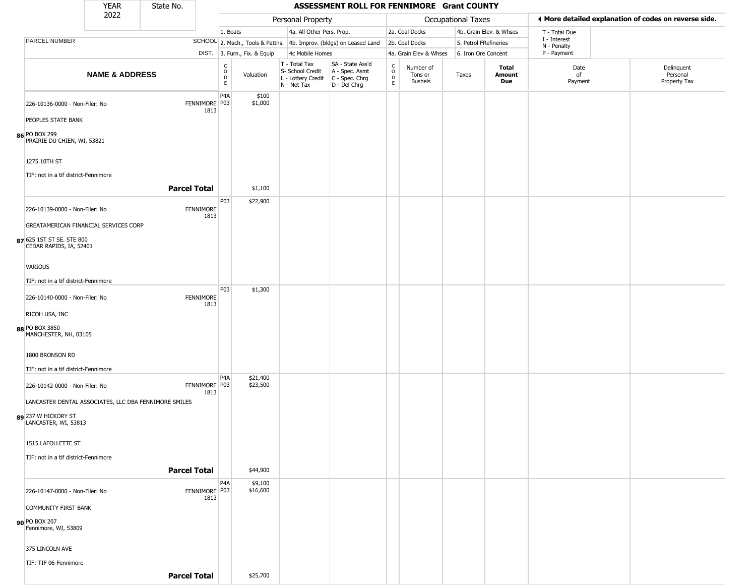|                                                                                               | <b>YEAR</b>               | State No.           |                       |                  |                              |                                                  | ASSESSMENT ROLL FOR FENNIMORE Grant COUNTY                                                |                                         |                                        |                       |                         |                             |                                                       |
|-----------------------------------------------------------------------------------------------|---------------------------|---------------------|-----------------------|------------------|------------------------------|--------------------------------------------------|-------------------------------------------------------------------------------------------|-----------------------------------------|----------------------------------------|-----------------------|-------------------------|-----------------------------|-------------------------------------------------------|
|                                                                                               | 2022                      |                     |                       |                  |                              | Personal Property                                |                                                                                           |                                         |                                        | Occupational Taxes    |                         |                             | ♦ More detailed explanation of codes on reverse side. |
|                                                                                               |                           |                     |                       | 1. Boats         |                              | 4a. All Other Pers. Prop.                        |                                                                                           |                                         | 2a. Coal Docks                         |                       | 4b. Grain Elev. & Whses | T - Total Due               |                                                       |
| PARCEL NUMBER                                                                                 |                           |                     |                       |                  |                              |                                                  | SCHOOL 2. Mach., Tools & Pattns. 4b. Improv. (bldgs) on Leased Land                       |                                         | 2b. Coal Docks                         | 5. Petrol FRefineries |                         | I - Interest<br>N - Penalty |                                                       |
|                                                                                               |                           |                     |                       |                  | DIST. 3. Furn., Fix. & Equip | 4c Mobile Homes                                  |                                                                                           |                                         | 4a. Grain Elev & Whses                 | 6. Iron Ore Concent   |                         | P - Payment                 |                                                       |
|                                                                                               | <b>NAME &amp; ADDRESS</b> |                     |                       | C<br>D<br>D<br>E | Valuation                    | T - Total Tax<br>S- School Credit<br>N - Net Tax | SA - State Ass'd<br>A - Spec. Asmt<br>L - Lottery Credit   C - Spec. Chrg<br>D - Del Chrg | $\rm _o^c$<br>$\mathsf{D}_{\mathsf{E}}$ | Number of<br>Tons or<br><b>Bushels</b> | Taxes                 | Total<br>Amount<br>Due  | Date<br>of<br>Payment       | Delinquent<br>Personal<br>Property Tax                |
| 226-10136-0000 - Non-Filer: No                                                                |                           |                     | FENNIMORE P03<br>1813 | P <sub>4</sub> A | \$100<br>\$1,000             |                                                  |                                                                                           |                                         |                                        |                       |                         |                             |                                                       |
| PEOPLES STATE BANK<br>86 PO BOX 299<br>PRAIRIE DU CHIEN, WI, 53821                            |                           |                     |                       |                  |                              |                                                  |                                                                                           |                                         |                                        |                       |                         |                             |                                                       |
| 1275 10TH ST<br>TIF: not in a tif district-Fennimore                                          |                           |                     |                       |                  |                              |                                                  |                                                                                           |                                         |                                        |                       |                         |                             |                                                       |
|                                                                                               |                           | <b>Parcel Total</b> |                       |                  | \$1,100                      |                                                  |                                                                                           |                                         |                                        |                       |                         |                             |                                                       |
| 226-10139-0000 - Non-Filer: No                                                                |                           |                     | FENNIMORE<br>1813     | P03              | \$22,900                     |                                                  |                                                                                           |                                         |                                        |                       |                         |                             |                                                       |
| GREATAMERICAN FINANCIAL SERVICES CORP<br>87 625 1ST ST SE. STE 800<br>CEDAR RAPIDS, IA, 52401 |                           |                     |                       |                  |                              |                                                  |                                                                                           |                                         |                                        |                       |                         |                             |                                                       |
| VARIOUS                                                                                       |                           |                     |                       |                  |                              |                                                  |                                                                                           |                                         |                                        |                       |                         |                             |                                                       |
| TIF: not in a tif district-Fennimore                                                          |                           |                     |                       | P03              | \$1,300                      |                                                  |                                                                                           |                                         |                                        |                       |                         |                             |                                                       |
| 226-10140-0000 - Non-Filer: No                                                                |                           |                     | FENNIMORE<br>1813     |                  |                              |                                                  |                                                                                           |                                         |                                        |                       |                         |                             |                                                       |
| RICOH USA, INC<br>88 PO BOX 3850<br>MANCHESTER, NH, 03105                                     |                           |                     |                       |                  |                              |                                                  |                                                                                           |                                         |                                        |                       |                         |                             |                                                       |
| 1800 BRONSON RD<br>TIF: not in a tif district-Fennimore                                       |                           |                     |                       |                  |                              |                                                  |                                                                                           |                                         |                                        |                       |                         |                             |                                                       |
| 226-10142-0000 - Non-Filer: No                                                                |                           |                     | FENNIMORE P03<br>1813 | P <sub>4</sub> A | \$21,400<br>\$23,500         |                                                  |                                                                                           |                                         |                                        |                       |                         |                             |                                                       |
| LANCASTER DENTAL ASSOCIATES, LLC DBA FENNIMORE SMILES                                         |                           |                     |                       |                  |                              |                                                  |                                                                                           |                                         |                                        |                       |                         |                             |                                                       |
| 89 237 W HICKORY ST<br>LANCASTER, WI, 53813                                                   |                           |                     |                       |                  |                              |                                                  |                                                                                           |                                         |                                        |                       |                         |                             |                                                       |
| 1515 LAFOLLETTE ST                                                                            |                           |                     |                       |                  |                              |                                                  |                                                                                           |                                         |                                        |                       |                         |                             |                                                       |
| TIF: not in a tif district-Fennimore                                                          |                           | <b>Parcel Total</b> |                       |                  | \$44,900                     |                                                  |                                                                                           |                                         |                                        |                       |                         |                             |                                                       |
| 226-10147-0000 - Non-Filer: No                                                                |                           |                     | FENNIMORE P03<br>1813 | P <sub>4</sub> A | \$9,100<br>\$16,600          |                                                  |                                                                                           |                                         |                                        |                       |                         |                             |                                                       |
| COMMUNITY FIRST BANK                                                                          |                           |                     |                       |                  |                              |                                                  |                                                                                           |                                         |                                        |                       |                         |                             |                                                       |
| 90 PO BOX 207<br>Fennimore, WI, 53809                                                         |                           |                     |                       |                  |                              |                                                  |                                                                                           |                                         |                                        |                       |                         |                             |                                                       |
| 375 LINCOLN AVE                                                                               |                           |                     |                       |                  |                              |                                                  |                                                                                           |                                         |                                        |                       |                         |                             |                                                       |
| TIF: TIF 06-Fennimore                                                                         |                           |                     |                       |                  |                              |                                                  |                                                                                           |                                         |                                        |                       |                         |                             |                                                       |
|                                                                                               |                           | <b>Parcel Total</b> |                       |                  | \$25,700                     |                                                  |                                                                                           |                                         |                                        |                       |                         |                             |                                                       |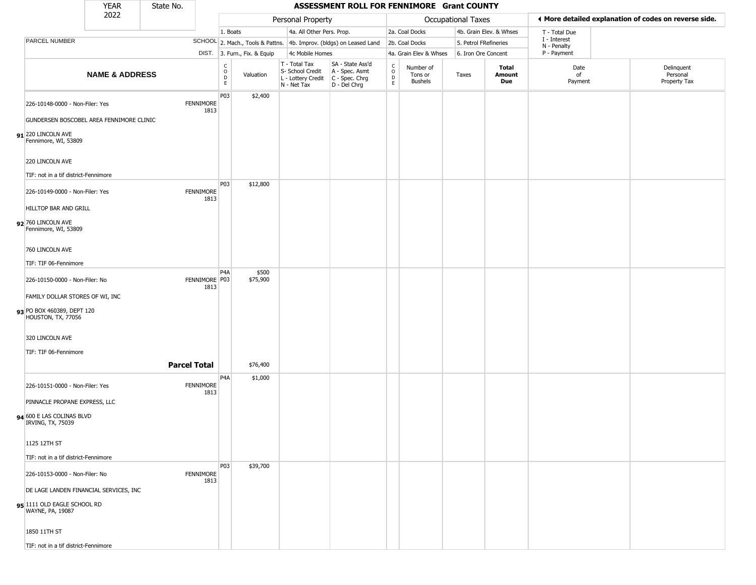|                                                  | <b>YEAR</b>                              | State No.           |                                                 |                              |                                                  | ASSESSMENT ROLL FOR FENNIMORE Grant COUNTY                                                |                                    |                                        |                       |                         |                             |                                                       |
|--------------------------------------------------|------------------------------------------|---------------------|-------------------------------------------------|------------------------------|--------------------------------------------------|-------------------------------------------------------------------------------------------|------------------------------------|----------------------------------------|-----------------------|-------------------------|-----------------------------|-------------------------------------------------------|
|                                                  | 2022                                     |                     |                                                 |                              | Personal Property                                |                                                                                           |                                    |                                        | Occupational Taxes    |                         |                             | ◀ More detailed explanation of codes on reverse side. |
|                                                  |                                          |                     | 1. Boats                                        |                              | 4a. All Other Pers. Prop.                        |                                                                                           |                                    | 2a. Coal Docks                         |                       | 4b. Grain Elev. & Whses | T - Total Due               |                                                       |
| PARCEL NUMBER                                    |                                          |                     |                                                 |                              |                                                  | SCHOOL 2. Mach., Tools & Pattns. 4b. Improv. (bldgs) on Leased Land                       |                                    | 2b. Coal Docks                         | 5. Petrol FRefineries |                         | I - Interest<br>N - Penalty |                                                       |
|                                                  |                                          |                     |                                                 | DIST. 3. Furn., Fix. & Equip | 4c Mobile Homes                                  |                                                                                           |                                    | 4a. Grain Elev & Whses                 | 6. Iron Ore Concent   |                         | P - Payment                 |                                                       |
|                                                  | <b>NAME &amp; ADDRESS</b>                |                     | $\begin{array}{c} C \\ O \\ D \\ E \end{array}$ | Valuation                    | T - Total Tax<br>S- School Credit<br>N - Net Tax | SA - State Ass'd<br>A - Spec. Asmt<br>L - Lottery Credit   C - Spec. Chrg<br>D - Del Chrg | $\mathsf{C}$<br>$\circ$<br>D<br>E. | Number of<br>Tons or<br><b>Bushels</b> | Taxes                 | Total<br>Amount<br>Due  | Date<br>of<br>Payment       | Delinquent<br>Personal<br>Property Tax                |
| 226-10148-0000 - Non-Filer: Yes                  |                                          | <b>FENNIMORE</b>    | P03<br>1813                                     | \$2,400                      |                                                  |                                                                                           |                                    |                                        |                       |                         |                             |                                                       |
|                                                  | GUNDERSEN BOSCOBEL AREA FENNIMORE CLINIC |                     |                                                 |                              |                                                  |                                                                                           |                                    |                                        |                       |                         |                             |                                                       |
| 91 220 LINCOLN AVE<br>Fennimore, WI, 53809       |                                          |                     |                                                 |                              |                                                  |                                                                                           |                                    |                                        |                       |                         |                             |                                                       |
| 220 LINCOLN AVE                                  |                                          |                     |                                                 |                              |                                                  |                                                                                           |                                    |                                        |                       |                         |                             |                                                       |
| TIF: not in a tif district-Fennimore             |                                          |                     |                                                 |                              |                                                  |                                                                                           |                                    |                                        |                       |                         |                             |                                                       |
| 226-10149-0000 - Non-Filer: Yes                  |                                          | <b>FENNIMORE</b>    | P03<br>1813                                     | \$12,800                     |                                                  |                                                                                           |                                    |                                        |                       |                         |                             |                                                       |
| HILLTOP BAR AND GRILL                            |                                          |                     |                                                 |                              |                                                  |                                                                                           |                                    |                                        |                       |                         |                             |                                                       |
| 92 760 LINCOLN AVE<br>Fennimore, WI, 53809       |                                          |                     |                                                 |                              |                                                  |                                                                                           |                                    |                                        |                       |                         |                             |                                                       |
| 760 LINCOLN AVE                                  |                                          |                     |                                                 |                              |                                                  |                                                                                           |                                    |                                        |                       |                         |                             |                                                       |
| TIF: TIF 06-Fennimore                            |                                          |                     |                                                 |                              |                                                  |                                                                                           |                                    |                                        |                       |                         |                             |                                                       |
| 226-10150-0000 - Non-Filer: No                   |                                          | FENNIMORE P03       | P4A<br>1813                                     | \$500<br>\$75,900            |                                                  |                                                                                           |                                    |                                        |                       |                         |                             |                                                       |
| FAMILY DOLLAR STORES OF WI, INC                  |                                          |                     |                                                 |                              |                                                  |                                                                                           |                                    |                                        |                       |                         |                             |                                                       |
| 93 PO BOX 460389, DEPT 120<br>HOUSTON, TX, 77056 |                                          |                     |                                                 |                              |                                                  |                                                                                           |                                    |                                        |                       |                         |                             |                                                       |
| 320 LINCOLN AVE                                  |                                          |                     |                                                 |                              |                                                  |                                                                                           |                                    |                                        |                       |                         |                             |                                                       |
| TIF: TIF 06-Fennimore                            |                                          |                     |                                                 |                              |                                                  |                                                                                           |                                    |                                        |                       |                         |                             |                                                       |
|                                                  |                                          | <b>Parcel Total</b> |                                                 | \$76,400                     |                                                  |                                                                                           |                                    |                                        |                       |                         |                             |                                                       |
| 226-10151-0000 - Non-Filer: Yes                  |                                          | FENNIMORE           | P <sub>4</sub> A<br>1813                        | \$1,000                      |                                                  |                                                                                           |                                    |                                        |                       |                         |                             |                                                       |
| PINNACLE PROPANE EXPRESS, LLC                    |                                          |                     |                                                 |                              |                                                  |                                                                                           |                                    |                                        |                       |                         |                             |                                                       |
| 94 600 E LAS COLINAS BLVD<br>IRVING, TX, 75039   |                                          |                     |                                                 |                              |                                                  |                                                                                           |                                    |                                        |                       |                         |                             |                                                       |
| 1125 12TH ST                                     |                                          |                     |                                                 |                              |                                                  |                                                                                           |                                    |                                        |                       |                         |                             |                                                       |
| TIF: not in a tif district-Fennimore             |                                          |                     |                                                 |                              |                                                  |                                                                                           |                                    |                                        |                       |                         |                             |                                                       |
| 226-10153-0000 - Non-Filer: No                   |                                          | <b>FENNIMORE</b>    | P03<br>1813                                     | \$39,700                     |                                                  |                                                                                           |                                    |                                        |                       |                         |                             |                                                       |
|                                                  | DE LAGE LANDEN FINANCIAL SERVICES, INC   |                     |                                                 |                              |                                                  |                                                                                           |                                    |                                        |                       |                         |                             |                                                       |
| 95 1111 OLD EAGLE SCHOOL RD<br>WAYNE, PA, 19087  |                                          |                     |                                                 |                              |                                                  |                                                                                           |                                    |                                        |                       |                         |                             |                                                       |
| 1850 11TH ST                                     |                                          |                     |                                                 |                              |                                                  |                                                                                           |                                    |                                        |                       |                         |                             |                                                       |
| TIF: not in a tif district-Fennimore             |                                          |                     |                                                 |                              |                                                  |                                                                                           |                                    |                                        |                       |                         |                             |                                                       |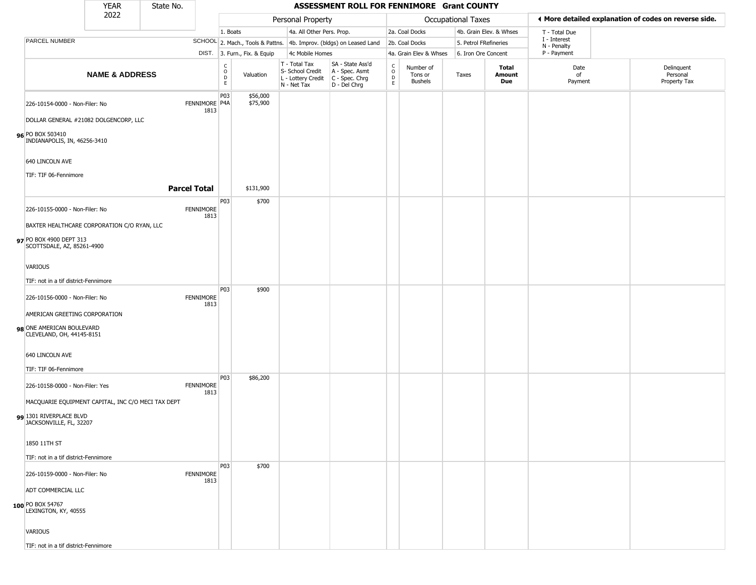|                                                        | <b>YEAR</b>               | State No.           |                          |                                   |                              |                                                                        | ASSESSMENT ROLL FOR FENNIMORE Grant COUNTY                           |                                              |                                        |                           |                         |                             |                                                       |
|--------------------------------------------------------|---------------------------|---------------------|--------------------------|-----------------------------------|------------------------------|------------------------------------------------------------------------|----------------------------------------------------------------------|----------------------------------------------|----------------------------------------|---------------------------|-------------------------|-----------------------------|-------------------------------------------------------|
|                                                        | 2022                      |                     |                          |                                   |                              | Personal Property                                                      |                                                                      |                                              |                                        | <b>Occupational Taxes</b> |                         |                             | ◀ More detailed explanation of codes on reverse side. |
|                                                        |                           |                     |                          | 1. Boats                          |                              | 4a. All Other Pers. Prop.                                              |                                                                      |                                              | 2a. Coal Docks                         |                           | 4b. Grain Elev. & Whses | T - Total Due               |                                                       |
| PARCEL NUMBER                                          |                           |                     |                          |                                   |                              |                                                                        | SCHOOL 2. Mach., Tools & Pattns. 4b. Improv. (bldgs) on Leased Land  |                                              | 2b. Coal Docks                         | 5. Petrol FRefineries     |                         | I - Interest<br>N - Penalty |                                                       |
|                                                        |                           |                     |                          |                                   | DIST. 3. Furn., Fix. & Equip | 4c Mobile Homes                                                        |                                                                      |                                              | 4a. Grain Elev & Whses                 | 6. Iron Ore Concent       |                         | P - Payment                 |                                                       |
|                                                        | <b>NAME &amp; ADDRESS</b> |                     |                          | $\frac{C}{O}$<br>D<br>$\mathsf E$ | Valuation                    | T - Total Tax<br>S- School Credit<br>L - Lottery Credit<br>N - Net Tax | SA - State Ass'd<br>A - Spec. Asmt<br>C - Spec. Chrg<br>D - Del Chrg | $\int_{0}^{c}$<br>$\mathsf D$<br>$\mathsf E$ | Number of<br>Tons or<br><b>Bushels</b> | Taxes                     | Total<br>Amount<br>Due  | Date<br>of<br>Payment       | Delinquent<br>Personal<br>Property Tax                |
| 226-10154-0000 - Non-Filer: No                         |                           |                     | FENNIMORE P4A<br>1813    | P03                               | \$56,000<br>\$75,900         |                                                                        |                                                                      |                                              |                                        |                           |                         |                             |                                                       |
| DOLLAR GENERAL #21082 DOLGENCORP, LLC                  |                           |                     |                          |                                   |                              |                                                                        |                                                                      |                                              |                                        |                           |                         |                             |                                                       |
| 96 PO BOX 503410<br>INDIANAPOLIS, IN, 46256-3410       |                           |                     |                          |                                   |                              |                                                                        |                                                                      |                                              |                                        |                           |                         |                             |                                                       |
| 640 LINCOLN AVE                                        |                           |                     |                          |                                   |                              |                                                                        |                                                                      |                                              |                                        |                           |                         |                             |                                                       |
| TIF: TIF 06-Fennimore                                  |                           |                     |                          |                                   |                              |                                                                        |                                                                      |                                              |                                        |                           |                         |                             |                                                       |
|                                                        |                           | <b>Parcel Total</b> |                          |                                   | \$131,900                    |                                                                        |                                                                      |                                              |                                        |                           |                         |                             |                                                       |
| 226-10155-0000 - Non-Filer: No                         |                           |                     | <b>FENNIMORE</b>         | P03                               | \$700                        |                                                                        |                                                                      |                                              |                                        |                           |                         |                             |                                                       |
|                                                        |                           |                     | 1813                     |                                   |                              |                                                                        |                                                                      |                                              |                                        |                           |                         |                             |                                                       |
| BAXTER HEALTHCARE CORPORATION C/O RYAN, LLC            |                           |                     |                          |                                   |                              |                                                                        |                                                                      |                                              |                                        |                           |                         |                             |                                                       |
| 97 PO BOX 4900 DEPT 313<br>SCOTTSDALE, AZ, 85261-4900  |                           |                     |                          |                                   |                              |                                                                        |                                                                      |                                              |                                        |                           |                         |                             |                                                       |
| <b>VARIOUS</b>                                         |                           |                     |                          |                                   |                              |                                                                        |                                                                      |                                              |                                        |                           |                         |                             |                                                       |
| TIF: not in a tif district-Fennimore                   |                           |                     |                          |                                   |                              |                                                                        |                                                                      |                                              |                                        |                           |                         |                             |                                                       |
| 226-10156-0000 - Non-Filer: No                         |                           |                     | <b>FENNIMORE</b><br>1813 | P03                               | \$900                        |                                                                        |                                                                      |                                              |                                        |                           |                         |                             |                                                       |
| AMERICAN GREETING CORPORATION                          |                           |                     |                          |                                   |                              |                                                                        |                                                                      |                                              |                                        |                           |                         |                             |                                                       |
| 98 ONE AMERICAN BOULEVARD<br>CLEVELAND, OH, 44145-8151 |                           |                     |                          |                                   |                              |                                                                        |                                                                      |                                              |                                        |                           |                         |                             |                                                       |
| 640 LINCOLN AVE                                        |                           |                     |                          |                                   |                              |                                                                        |                                                                      |                                              |                                        |                           |                         |                             |                                                       |
| TIF: TIF 06-Fennimore                                  |                           |                     |                          |                                   |                              |                                                                        |                                                                      |                                              |                                        |                           |                         |                             |                                                       |
| 226-10158-0000 - Non-Filer: Yes                        |                           |                     | <b>FENNIMORE</b><br>1813 | P03                               | \$86,200                     |                                                                        |                                                                      |                                              |                                        |                           |                         |                             |                                                       |
| MACQUARIE EQUIPMENT CAPITAL, INC C/O MECI TAX DEPT     |                           |                     |                          |                                   |                              |                                                                        |                                                                      |                                              |                                        |                           |                         |                             |                                                       |
| 99 1301 RIVERPLACE BLVD<br>JACKSONVILLE, FL, 32207     |                           |                     |                          |                                   |                              |                                                                        |                                                                      |                                              |                                        |                           |                         |                             |                                                       |
| 1850 11TH ST                                           |                           |                     |                          |                                   |                              |                                                                        |                                                                      |                                              |                                        |                           |                         |                             |                                                       |
| TIF: not in a tif district-Fennimore                   |                           |                     |                          |                                   |                              |                                                                        |                                                                      |                                              |                                        |                           |                         |                             |                                                       |
| 226-10159-0000 - Non-Filer: No                         |                           |                     | <b>FENNIMORE</b><br>1813 | P03                               | \$700                        |                                                                        |                                                                      |                                              |                                        |                           |                         |                             |                                                       |
| <b>ADT COMMERCIAL LLC</b>                              |                           |                     |                          |                                   |                              |                                                                        |                                                                      |                                              |                                        |                           |                         |                             |                                                       |
| 100 PO BOX 54767<br>LEXINGTON, KY, 40555               |                           |                     |                          |                                   |                              |                                                                        |                                                                      |                                              |                                        |                           |                         |                             |                                                       |
| <b>VARIOUS</b>                                         |                           |                     |                          |                                   |                              |                                                                        |                                                                      |                                              |                                        |                           |                         |                             |                                                       |
| TIF: not in a tif district-Fennimore                   |                           |                     |                          |                                   |                              |                                                                        |                                                                      |                                              |                                        |                           |                         |                             |                                                       |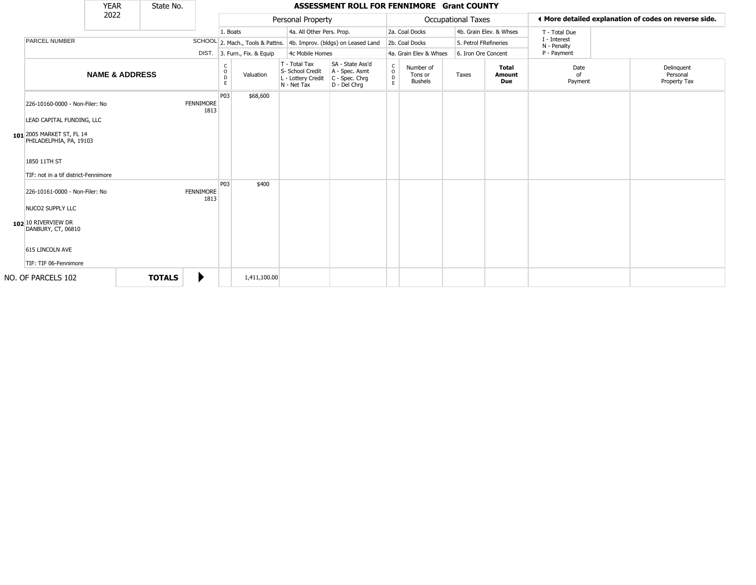|                                                                 | <b>YEAR</b>               | State No.     |                          |                  |                              |                                                                        | ASSESSMENT ROLL FOR FENNIMORE Grant COUNTY                           |                              |                                        |                           |                         |                             |                                                       |
|-----------------------------------------------------------------|---------------------------|---------------|--------------------------|------------------|------------------------------|------------------------------------------------------------------------|----------------------------------------------------------------------|------------------------------|----------------------------------------|---------------------------|-------------------------|-----------------------------|-------------------------------------------------------|
|                                                                 | 2022                      |               |                          |                  |                              | Personal Property                                                      |                                                                      |                              |                                        | <b>Occupational Taxes</b> |                         |                             | ← More detailed explanation of codes on reverse side. |
|                                                                 |                           |               |                          | 1. Boats         |                              | 4a. All Other Pers. Prop.                                              |                                                                      |                              | 2a. Coal Docks                         |                           | 4b. Grain Elev. & Whses | T - Total Due               |                                                       |
| <b>PARCEL NUMBER</b>                                            |                           |               |                          |                  |                              |                                                                        | SCHOOL 2. Mach., Tools & Pattns. 4b. Improv. (bldgs) on Leased Land  |                              | 2b. Coal Docks                         |                           | 5. Petrol FRefineries   | I - Interest<br>N - Penalty |                                                       |
|                                                                 |                           |               |                          |                  | DIST. 3. Furn., Fix. & Equip | 4c Mobile Homes                                                        |                                                                      |                              | 4a. Grain Elev & Whses                 |                           | 6. Iron Ore Concent     | P - Payment                 |                                                       |
|                                                                 | <b>NAME &amp; ADDRESS</b> |               |                          | C<br>O<br>D<br>E | Valuation                    | T - Total Tax<br>S- School Credit<br>L - Lottery Credit<br>N - Net Tax | SA - State Ass'd<br>A - Spec. Asmt<br>C - Spec. Chrg<br>D - Del Chrq | $_{\rm o}^{\rm c}$<br>D<br>E | Number of<br>Tons or<br><b>Bushels</b> | Taxes                     | Total<br>Amount<br>Due  | Date<br>nf<br>Payment       | Delinquent<br>Personal<br>Property Tax                |
| 226-10160-0000 - Non-Filer: No<br>LEAD CAPITAL FUNDING, LLC     |                           |               | FENNIMORE<br>1813        | P03              | \$68,600                     |                                                                        |                                                                      |                              |                                        |                           |                         |                             |                                                       |
| 101 2005 MARKET ST, FL 14<br>PHILADELPHIA, PA, 19103            |                           |               |                          |                  |                              |                                                                        |                                                                      |                              |                                        |                           |                         |                             |                                                       |
| 1850 11TH ST<br>TIF: not in a tif district-Fennimore            |                           |               |                          |                  |                              |                                                                        |                                                                      |                              |                                        |                           |                         |                             |                                                       |
| 226-10161-0000 - Non-Filer: No                                  |                           |               | <b>FENNIMORE</b><br>1813 | P <sub>03</sub>  | \$400                        |                                                                        |                                                                      |                              |                                        |                           |                         |                             |                                                       |
| NUCO2 SUPPLY LLC<br>$102$ 10 RIVERVIEW DR<br>DANBURY, CT, 06810 |                           |               |                          |                  |                              |                                                                        |                                                                      |                              |                                        |                           |                         |                             |                                                       |
| 615 LINCOLN AVE<br>TIF: TIF 06-Fennimore                        |                           |               |                          |                  |                              |                                                                        |                                                                      |                              |                                        |                           |                         |                             |                                                       |
| NO. OF PARCELS 102                                              |                           | <b>TOTALS</b> | ▶                        |                  | 1,411,100.00                 |                                                                        |                                                                      |                              |                                        |                           |                         |                             |                                                       |